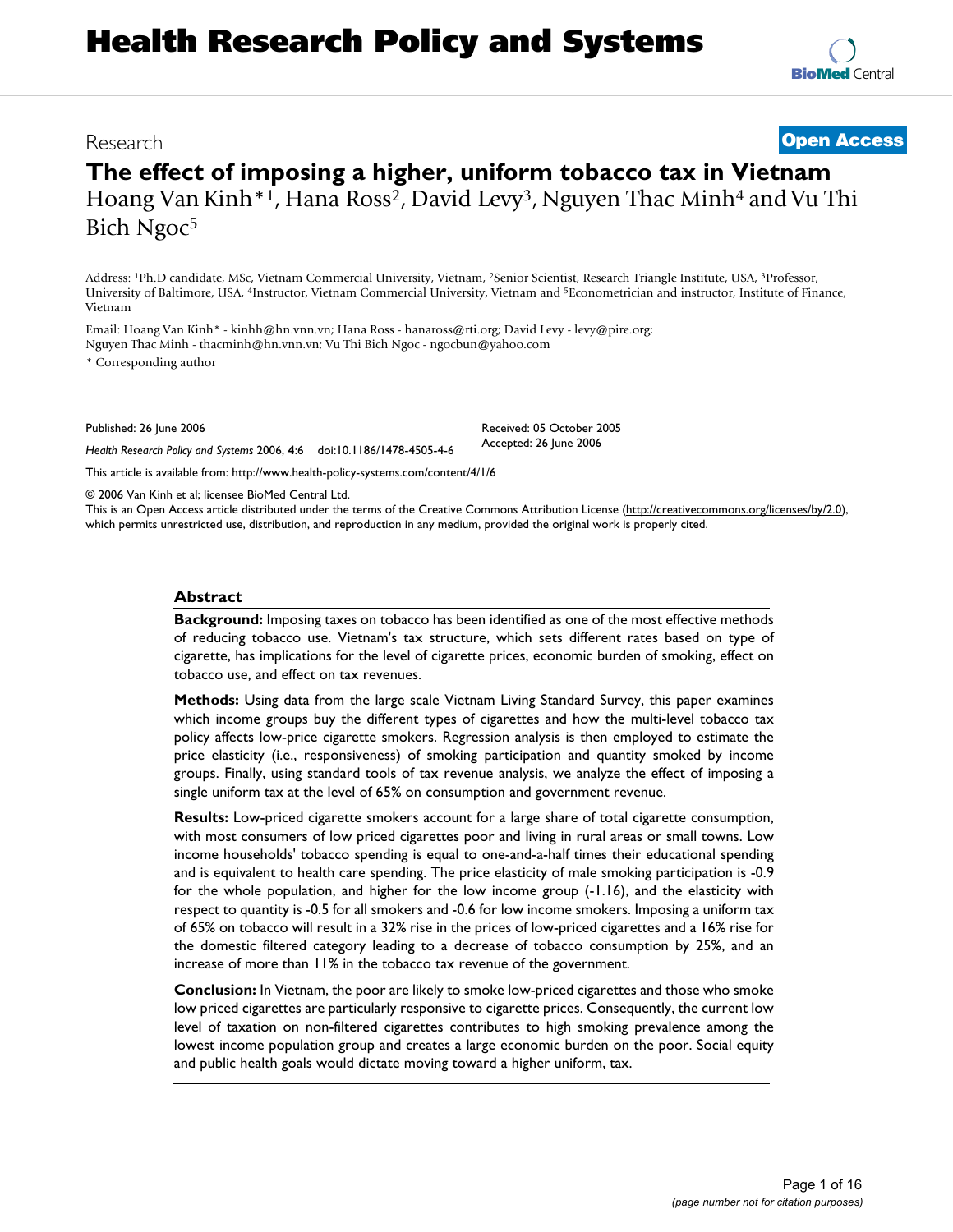# **Health Research Policy and Systems**

Research **[Open Access](http://www.biomedcentral.com/info/about/charter/)**

## **The effect of imposing a higher, uniform tobacco tax in Vietnam** Hoang Van Kinh<sup>\*1</sup>, Hana Ross<sup>2</sup>, David Levy<sup>3</sup>, Nguyen Thac Minh<sup>4</sup> and Vu Thi

Bich Ngoc5

Address: 1Ph.D candidate, MSc, Vietnam Commercial University, Vietnam, 2Senior Scientist, Research Triangle Institute, USA, 3Professor, University of Baltimore, USA, 4Instructor, Vietnam Commercial University, Vietnam and 5Econometrician and instructor, Institute of Finance, Vietnam

Email: Hoang Van Kinh\* - kinhh@hn.vnn.vn; Hana Ross - hanaross@rti.org; David Levy - levy@pire.org; Nguyen Thac Minh - thacminh@hn.vnn.vn; Vu Thi Bich Ngoc - ngocbun@yahoo.com

\* Corresponding author

Published: 26 June 2006

*Health Research Policy and Systems* 2006, **4**:6 doi:10.1186/1478-4505-4-6

[This article is available from: http://www.health-policy-systems.com/content/4/1/6](http://www.health-policy-systems.com/content/4/1/6)

© 2006 Van Kinh et al; licensee BioMed Central Ltd.

This is an Open Access article distributed under the terms of the Creative Commons Attribution License [\(http://creativecommons.org/licenses/by/2.0\)](http://creativecommons.org/licenses/by/2.0), which permits unrestricted use, distribution, and reproduction in any medium, provided the original work is properly cited.

#### **Abstract**

**Background:** Imposing taxes on tobacco has been identified as one of the most effective methods of reducing tobacco use. Vietnam's tax structure, which sets different rates based on type of cigarette, has implications for the level of cigarette prices, economic burden of smoking, effect on tobacco use, and effect on tax revenues.

**Methods:** Using data from the large scale Vietnam Living Standard Survey, this paper examines which income groups buy the different types of cigarettes and how the multi-level tobacco tax policy affects low-price cigarette smokers. Regression analysis is then employed to estimate the price elasticity (i.e., responsiveness) of smoking participation and quantity smoked by income groups. Finally, using standard tools of tax revenue analysis, we analyze the effect of imposing a single uniform tax at the level of 65% on consumption and government revenue.

**Results:** Low-priced cigarette smokers account for a large share of total cigarette consumption, with most consumers of low priced cigarettes poor and living in rural areas or small towns. Low income households' tobacco spending is equal to one-and-a-half times their educational spending and is equivalent to health care spending. The price elasticity of male smoking participation is -0.9 for the whole population, and higher for the low income group (-1.16), and the elasticity with respect to quantity is -0.5 for all smokers and -0.6 for low income smokers. Imposing a uniform tax of 65% on tobacco will result in a 32% rise in the prices of low-priced cigarettes and a 16% rise for the domestic filtered category leading to a decrease of tobacco consumption by 25%, and an increase of more than 11% in the tobacco tax revenue of the government.

**Conclusion:** In Vietnam, the poor are likely to smoke low-priced cigarettes and those who smoke low priced cigarettes are particularly responsive to cigarette prices. Consequently, the current low level of taxation on non-filtered cigarettes contributes to high smoking prevalence among the lowest income population group and creates a large economic burden on the poor. Social equity and public health goals would dictate moving toward a higher uniform, tax.

Received: 05 October 2005 Accepted: 26 June 2006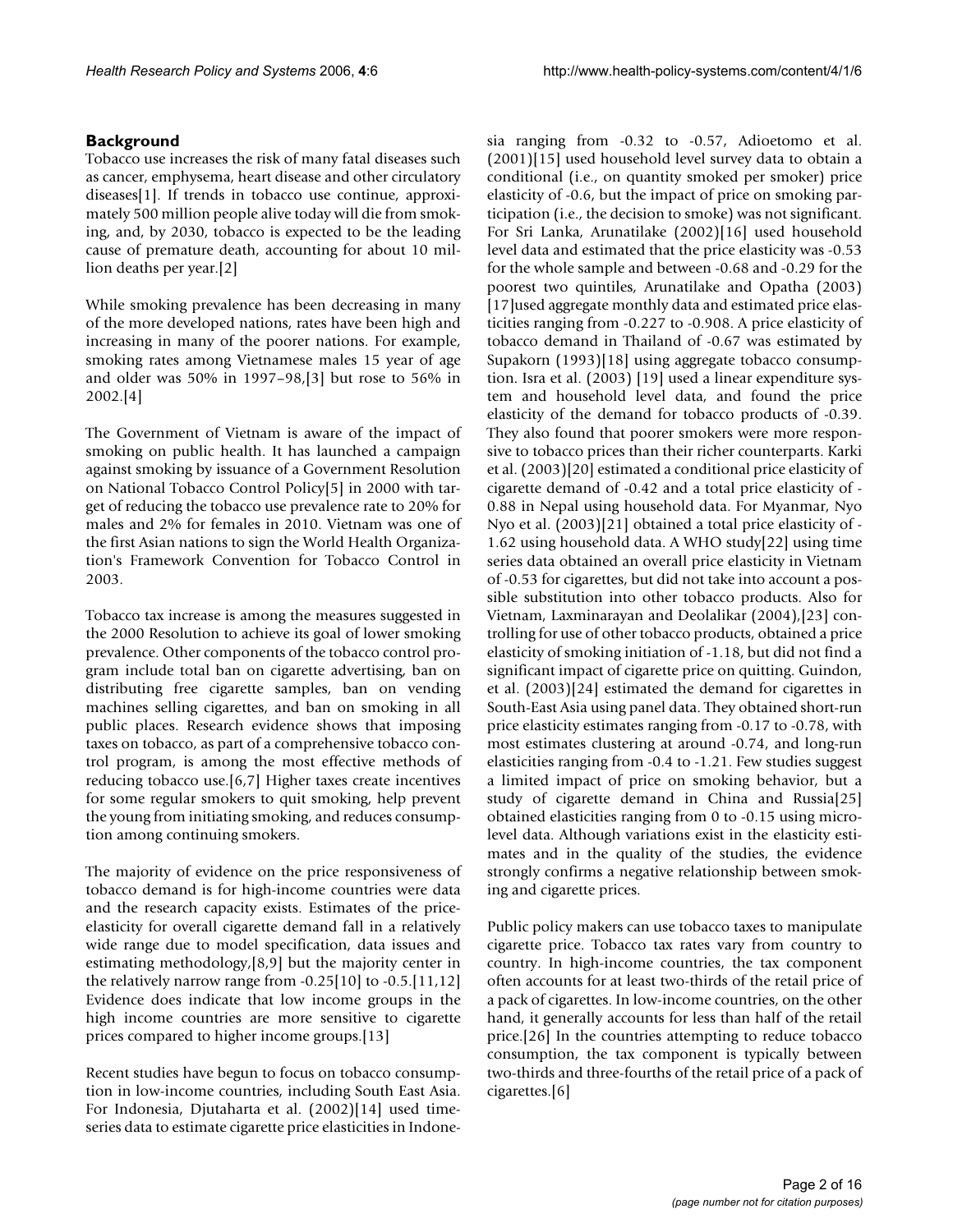## **Background**

Tobacco use increases the risk of many fatal diseases such as cancer, emphysema, heart disease and other circulatory diseases[1]. If trends in tobacco use continue, approximately 500 million people alive today will die from smoking, and, by 2030, tobacco is expected to be the leading cause of premature death, accounting for about 10 million deaths per year.[2]

While smoking prevalence has been decreasing in many of the more developed nations, rates have been high and increasing in many of the poorer nations. For example, smoking rates among Vietnamese males 15 year of age and older was 50% in 1997–98,[3] but rose to 56% in 2002.[4]

The Government of Vietnam is aware of the impact of smoking on public health. It has launched a campaign against smoking by issuance of a Government Resolution on National Tobacco Control Policy[5] in 2000 with target of reducing the tobacco use prevalence rate to 20% for males and 2% for females in 2010. Vietnam was one of the first Asian nations to sign the World Health Organization's Framework Convention for Tobacco Control in 2003.

Tobacco tax increase is among the measures suggested in the 2000 Resolution to achieve its goal of lower smoking prevalence. Other components of the tobacco control program include total ban on cigarette advertising, ban on distributing free cigarette samples, ban on vending machines selling cigarettes, and ban on smoking in all public places. Research evidence shows that imposing taxes on tobacco, as part of a comprehensive tobacco control program, is among the most effective methods of reducing tobacco use.[6,7] Higher taxes create incentives for some regular smokers to quit smoking, help prevent the young from initiating smoking, and reduces consumption among continuing smokers.

The majority of evidence on the price responsiveness of tobacco demand is for high-income countries were data and the research capacity exists. Estimates of the priceelasticity for overall cigarette demand fall in a relatively wide range due to model specification, data issues and estimating methodology,[8,9] but the majority center in the relatively narrow range from  $-0.25[10]$  to  $-0.5[11,12]$ Evidence does indicate that low income groups in the high income countries are more sensitive to cigarette prices compared to higher income groups.[13]

Recent studies have begun to focus on tobacco consumption in low-income countries, including South East Asia. For Indonesia, Djutaharta et al. (2002)[14] used timeseries data to estimate cigarette price elasticities in Indonesia ranging from -0.32 to -0.57, Adioetomo et al. (2001)[15] used household level survey data to obtain a conditional (i.e., on quantity smoked per smoker) price elasticity of -0.6, but the impact of price on smoking participation (i.e., the decision to smoke) was not significant. For Sri Lanka, Arunatilake (2002)[16] used household level data and estimated that the price elasticity was -0.53 for the whole sample and between -0.68 and -0.29 for the poorest two quintiles, Arunatilake and Opatha (2003) [17]used aggregate monthly data and estimated price elasticities ranging from -0.227 to -0.908. A price elasticity of tobacco demand in Thailand of -0.67 was estimated by Supakorn (1993)[18] using aggregate tobacco consumption. Isra et al. (2003) [19] used a linear expenditure system and household level data, and found the price elasticity of the demand for tobacco products of -0.39. They also found that poorer smokers were more responsive to tobacco prices than their richer counterparts. Karki et al. (2003)[20] estimated a conditional price elasticity of cigarette demand of -0.42 and a total price elasticity of - 0.88 in Nepal using household data. For Myanmar, Nyo Nyo et al. (2003)[21] obtained a total price elasticity of - 1.62 using household data. A WHO study[22] using time series data obtained an overall price elasticity in Vietnam of -0.53 for cigarettes, but did not take into account a possible substitution into other tobacco products. Also for Vietnam, Laxminarayan and Deolalikar (2004),[23] controlling for use of other tobacco products, obtained a price elasticity of smoking initiation of -1.18, but did not find a significant impact of cigarette price on quitting. Guindon, et al. (2003)[24] estimated the demand for cigarettes in South-East Asia using panel data. They obtained short-run price elasticity estimates ranging from -0.17 to -0.78, with most estimates clustering at around -0.74, and long-run elasticities ranging from -0.4 to -1.21. Few studies suggest a limited impact of price on smoking behavior, but a study of cigarette demand in China and Russia[25] obtained elasticities ranging from 0 to -0.15 using microlevel data. Although variations exist in the elasticity estimates and in the quality of the studies, the evidence strongly confirms a negative relationship between smoking and cigarette prices.

Public policy makers can use tobacco taxes to manipulate cigarette price. Tobacco tax rates vary from country to country. In high-income countries, the tax component often accounts for at least two-thirds of the retail price of a pack of cigarettes. In low-income countries, on the other hand, it generally accounts for less than half of the retail price.[26] In the countries attempting to reduce tobacco consumption, the tax component is typically between two-thirds and three-fourths of the retail price of a pack of cigarettes.[6]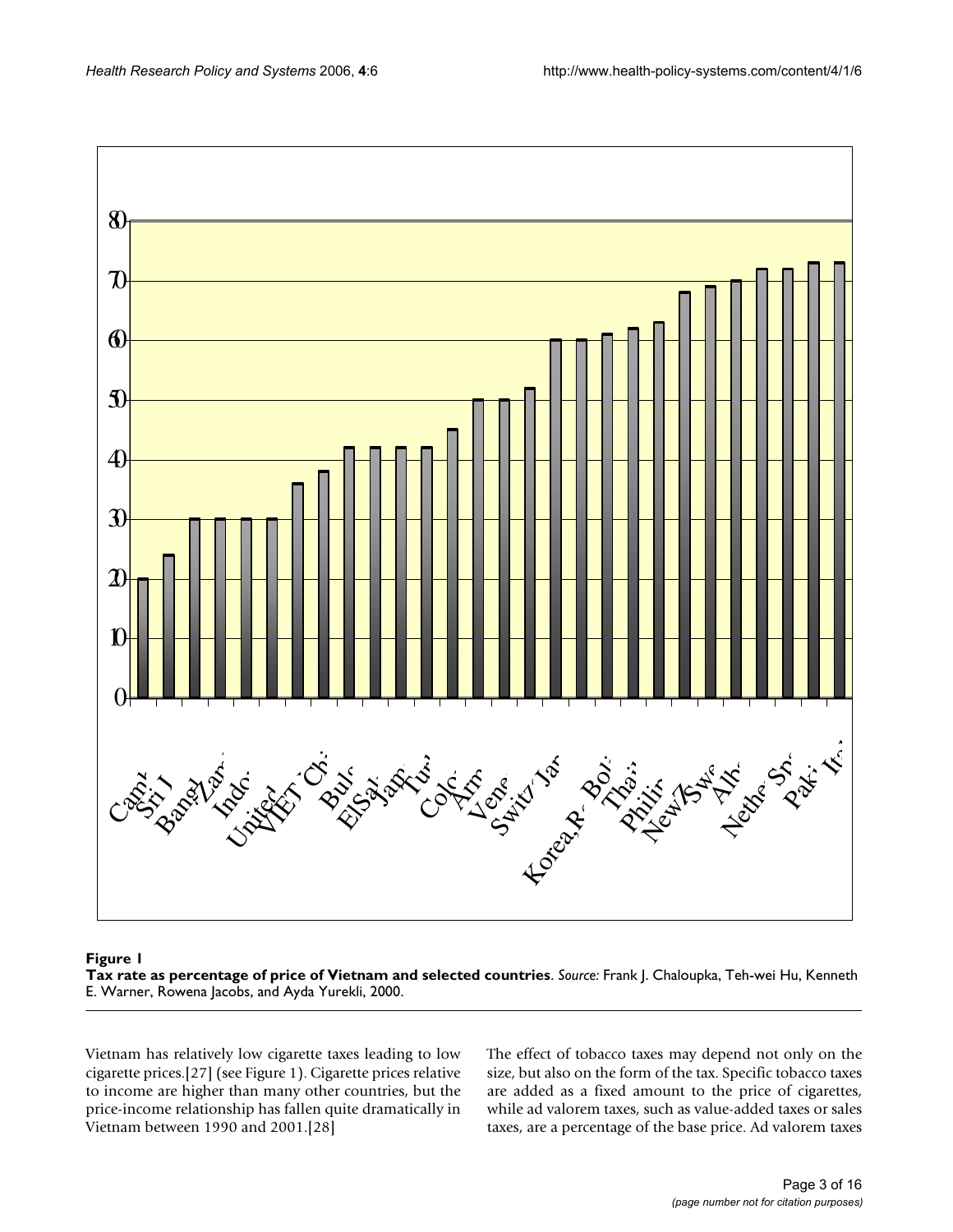

**Figure 1** 

**Tax rate as percentage of price of Vietnam and selected countries**. *Source:* Frank J. Chaloupka, Teh-wei Hu, Kenneth E. Warner, Rowena Jacobs, and Ayda Yurekli, 2000.

Vietnam has relatively low cigarette taxes leading to low cigarette prices.[27] (see Figure 1). Cigarette prices relative to income are higher than many other countries, but the price-income relationship has fallen quite dramatically in Vietnam between 1990 and 2001.[28]

The effect of tobacco taxes may depend not only on the size, but also on the form of the tax. Specific tobacco taxes are added as a fixed amount to the price of cigarettes, while ad valorem taxes, such as value-added taxes or sales taxes, are a percentage of the base price. Ad valorem taxes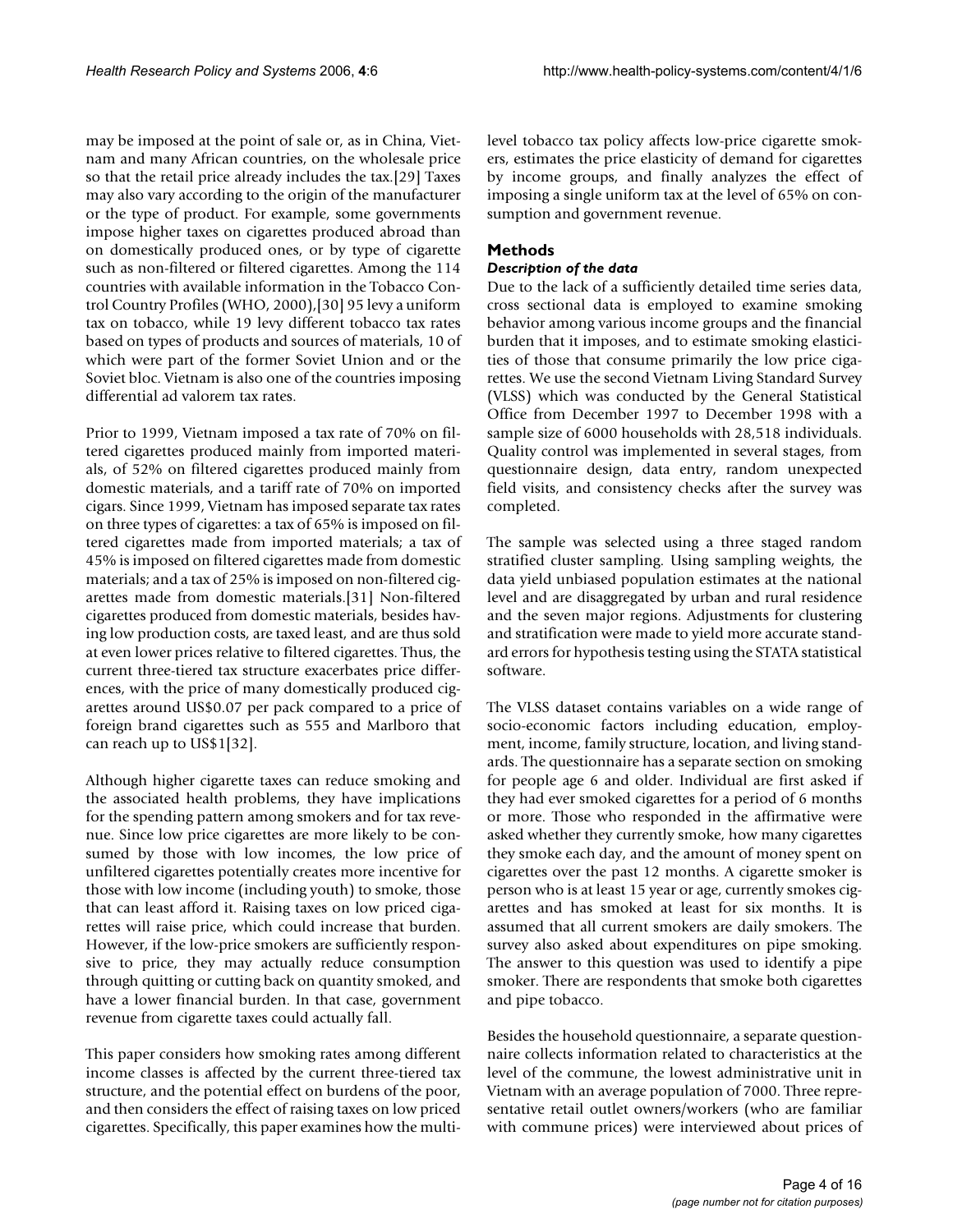may be imposed at the point of sale or, as in China, Vietnam and many African countries, on the wholesale price so that the retail price already includes the tax.[29] Taxes may also vary according to the origin of the manufacturer or the type of product. For example, some governments impose higher taxes on cigarettes produced abroad than on domestically produced ones, or by type of cigarette such as non-filtered or filtered cigarettes. Among the 114 countries with available information in the Tobacco Control Country Profiles (WHO, 2000),[30] 95 levy a uniform tax on tobacco, while 19 levy different tobacco tax rates based on types of products and sources of materials, 10 of which were part of the former Soviet Union and or the Soviet bloc. Vietnam is also one of the countries imposing differential ad valorem tax rates.

Prior to 1999, Vietnam imposed a tax rate of 70% on filtered cigarettes produced mainly from imported materials, of 52% on filtered cigarettes produced mainly from domestic materials, and a tariff rate of 70% on imported cigars. Since 1999, Vietnam has imposed separate tax rates on three types of cigarettes: a tax of 65% is imposed on filtered cigarettes made from imported materials; a tax of 45% is imposed on filtered cigarettes made from domestic materials; and a tax of 25% is imposed on non-filtered cigarettes made from domestic materials.[31] Non-filtered cigarettes produced from domestic materials, besides having low production costs, are taxed least, and are thus sold at even lower prices relative to filtered cigarettes. Thus, the current three-tiered tax structure exacerbates price differences, with the price of many domestically produced cigarettes around US\$0.07 per pack compared to a price of foreign brand cigarettes such as 555 and Marlboro that can reach up to US\$1[32].

Although higher cigarette taxes can reduce smoking and the associated health problems, they have implications for the spending pattern among smokers and for tax revenue. Since low price cigarettes are more likely to be consumed by those with low incomes, the low price of unfiltered cigarettes potentially creates more incentive for those with low income (including youth) to smoke, those that can least afford it. Raising taxes on low priced cigarettes will raise price, which could increase that burden. However, if the low-price smokers are sufficiently responsive to price, they may actually reduce consumption through quitting or cutting back on quantity smoked, and have a lower financial burden. In that case, government revenue from cigarette taxes could actually fall.

This paper considers how smoking rates among different income classes is affected by the current three-tiered tax structure, and the potential effect on burdens of the poor, and then considers the effect of raising taxes on low priced cigarettes. Specifically, this paper examines how the multilevel tobacco tax policy affects low-price cigarette smokers, estimates the price elasticity of demand for cigarettes by income groups, and finally analyzes the effect of imposing a single uniform tax at the level of 65% on consumption and government revenue.

## **Methods**

## *Description of the data*

Due to the lack of a sufficiently detailed time series data, cross sectional data is employed to examine smoking behavior among various income groups and the financial burden that it imposes, and to estimate smoking elasticities of those that consume primarily the low price cigarettes. We use the second Vietnam Living Standard Survey (VLSS) which was conducted by the General Statistical Office from December 1997 to December 1998 with a sample size of 6000 households with 28,518 individuals. Quality control was implemented in several stages, from questionnaire design, data entry, random unexpected field visits, and consistency checks after the survey was completed.

The sample was selected using a three staged random stratified cluster sampling. Using sampling weights, the data yield unbiased population estimates at the national level and are disaggregated by urban and rural residence and the seven major regions. Adjustments for clustering and stratification were made to yield more accurate standard errors for hypothesis testing using the STATA statistical software.

The VLSS dataset contains variables on a wide range of socio-economic factors including education, employment, income, family structure, location, and living standards. The questionnaire has a separate section on smoking for people age 6 and older. Individual are first asked if they had ever smoked cigarettes for a period of 6 months or more. Those who responded in the affirmative were asked whether they currently smoke, how many cigarettes they smoke each day, and the amount of money spent on cigarettes over the past 12 months. A cigarette smoker is person who is at least 15 year or age, currently smokes cigarettes and has smoked at least for six months. It is assumed that all current smokers are daily smokers. The survey also asked about expenditures on pipe smoking. The answer to this question was used to identify a pipe smoker. There are respondents that smoke both cigarettes and pipe tobacco.

Besides the household questionnaire, a separate questionnaire collects information related to characteristics at the level of the commune, the lowest administrative unit in Vietnam with an average population of 7000. Three representative retail outlet owners/workers (who are familiar with commune prices) were interviewed about prices of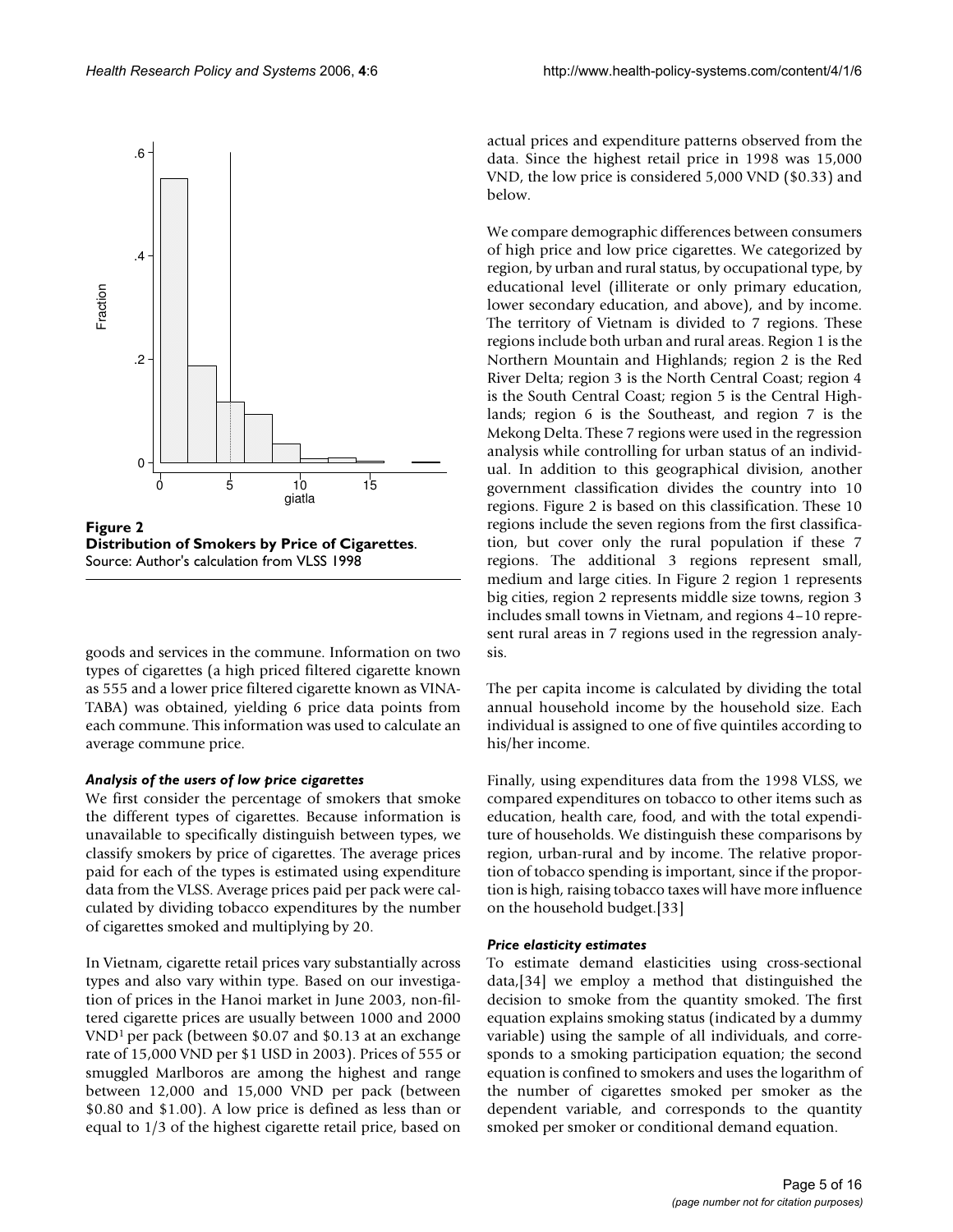

**Figure 2 Distribution of Smokers by Price of Cigarettes**. Source: Author's calculation from VLSS 1998

goods and services in the commune. Information on two types of cigarettes (a high priced filtered cigarette known as 555 and a lower price filtered cigarette known as VINA-TABA) was obtained, yielding 6 price data points from each commune. This information was used to calculate an average commune price.

## *Analysis of the users of low price cigarettes*

We first consider the percentage of smokers that smoke the different types of cigarettes. Because information is unavailable to specifically distinguish between types, we classify smokers by price of cigarettes. The average prices paid for each of the types is estimated using expenditure data from the VLSS. Average prices paid per pack were calculated by dividing tobacco expenditures by the number of cigarettes smoked and multiplying by 20.

In Vietnam, cigarette retail prices vary substantially across types and also vary within type. Based on our investigation of prices in the Hanoi market in June 2003, non-filtered cigarette prices are usually between 1000 and 2000 VND1 per pack (between \$0.07 and \$0.13 at an exchange rate of 15,000 VND per \$1 USD in 2003). Prices of 555 or smuggled Marlboros are among the highest and range between 12,000 and 15,000 VND per pack (between \$0.80 and \$1.00). A low price is defined as less than or equal to 1/3 of the highest cigarette retail price, based on actual prices and expenditure patterns observed from the data. Since the highest retail price in 1998 was 15,000 VND, the low price is considered 5,000 VND (\$0.33) and below.

We compare demographic differences between consumers of high price and low price cigarettes. We categorized by region, by urban and rural status, by occupational type, by educational level (illiterate or only primary education, lower secondary education, and above), and by income. The territory of Vietnam is divided to 7 regions. These regions include both urban and rural areas. Region 1 is the Northern Mountain and Highlands; region 2 is the Red River Delta; region 3 is the North Central Coast; region 4 is the South Central Coast; region 5 is the Central Highlands; region 6 is the Southeast, and region 7 is the Mekong Delta. These 7 regions were used in the regression analysis while controlling for urban status of an individual. In addition to this geographical division, another government classification divides the country into 10 regions. Figure 2 is based on this classification. These 10 regions include the seven regions from the first classification, but cover only the rural population if these 7 regions. The additional 3 regions represent small, medium and large cities. In Figure 2 region 1 represents big cities, region 2 represents middle size towns, region 3 includes small towns in Vietnam, and regions 4–10 represent rural areas in 7 regions used in the regression analysis.

The per capita income is calculated by dividing the total annual household income by the household size. Each individual is assigned to one of five quintiles according to his/her income.

Finally, using expenditures data from the 1998 VLSS, we compared expenditures on tobacco to other items such as education, health care, food, and with the total expenditure of households. We distinguish these comparisons by region, urban-rural and by income. The relative proportion of tobacco spending is important, since if the proportion is high, raising tobacco taxes will have more influence on the household budget.[33]

## *Price elasticity estimates*

To estimate demand elasticities using cross-sectional data,[34] we employ a method that distinguished the decision to smoke from the quantity smoked. The first equation explains smoking status (indicated by a dummy variable) using the sample of all individuals, and corresponds to a smoking participation equation; the second equation is confined to smokers and uses the logarithm of the number of cigarettes smoked per smoker as the dependent variable, and corresponds to the quantity smoked per smoker or conditional demand equation.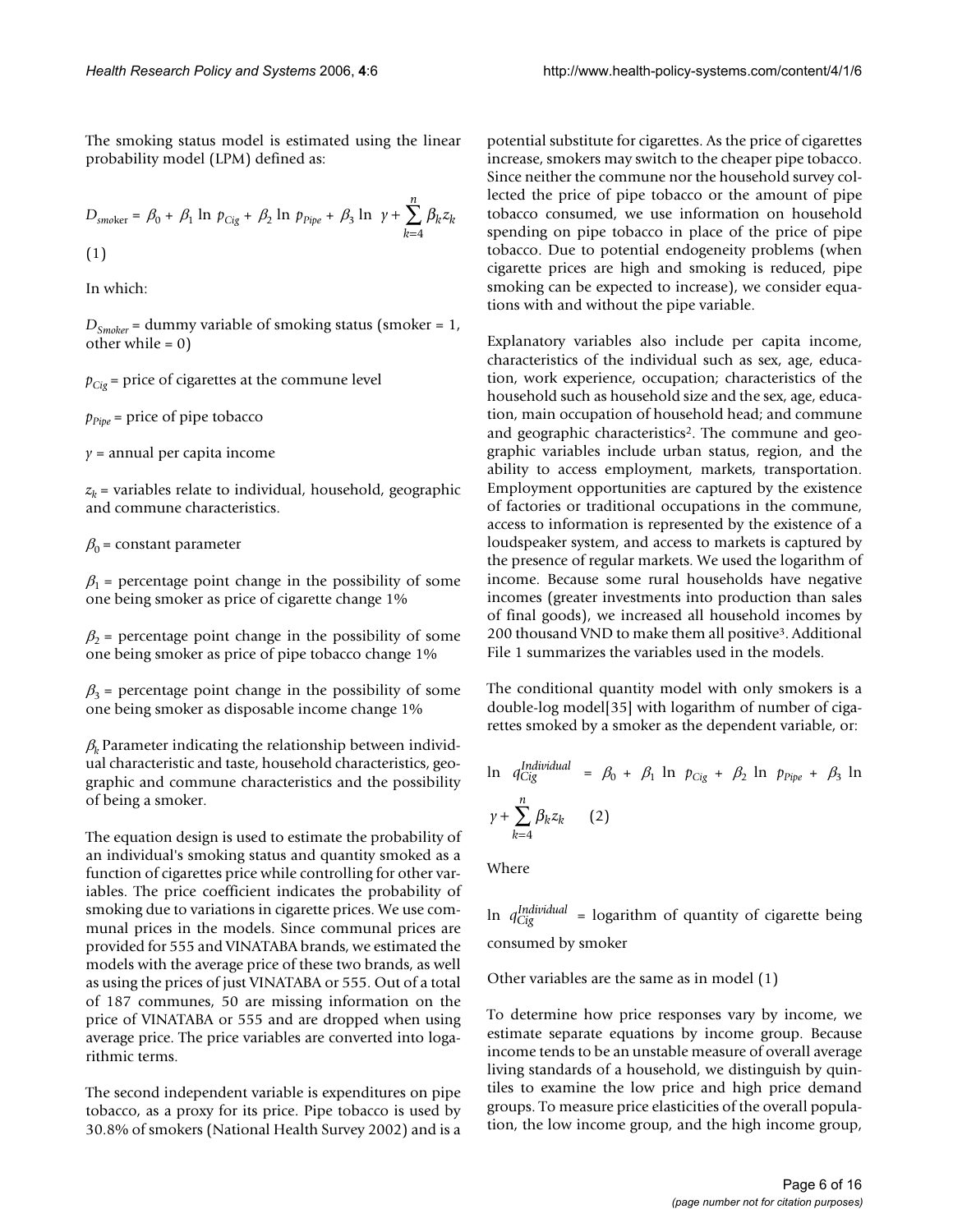The smoking status model is estimated using the linear probability model (LPM) defined as:

$$
D_{smoker} = \beta_0 + \beta_1 \ln p_{Cig} + \beta_2 \ln p_{Pipe} + \beta_3 \ln \gamma + \sum_{k=4}^{n} \beta_k z_k
$$

$$
\left(1\right)
$$

In which:

 $D_{Smoker}$  = dummy variable of smoking status (smoker = 1, other while  $= 0$ )

 $p_{Civ}$  = price of cigarettes at the commune level

 $p_{\text{pipe}}$  = price of pipe tobacco

 $y =$  annual per capita income

 $z_k$  = variables relate to individual, household, geographic and commune characteristics.

 $\beta_0$  = constant parameter

 $\beta_1$  = percentage point change in the possibility of some one being smoker as price of cigarette change 1%

 $\beta_2$  = percentage point change in the possibility of some one being smoker as price of pipe tobacco change 1%

 $\beta_3$  = percentage point change in the possibility of some one being smoker as disposable income change 1%

 $\beta_k$  Parameter indicating the relationship between individual characteristic and taste, household characteristics, geographic and commune characteristics and the possibility of being a smoker.

The equation design is used to estimate the probability of an individual's smoking status and quantity smoked as a function of cigarettes price while controlling for other variables. The price coefficient indicates the probability of smoking due to variations in cigarette prices. We use communal prices in the models. Since communal prices are provided for 555 and VINATABA brands, we estimated the models with the average price of these two brands, as well as using the prices of just VINATABA or 555. Out of a total of 187 communes, 50 are missing information on the price of VINATABA or 555 and are dropped when using average price. The price variables are converted into logarithmic terms.

The second independent variable is expenditures on pipe tobacco, as a proxy for its price. Pipe tobacco is used by 30.8% of smokers (National Health Survey 2002) and is a

potential substitute for cigarettes. As the price of cigarettes increase, smokers may switch to the cheaper pipe tobacco. Since neither the commune nor the household survey collected the price of pipe tobacco or the amount of pipe tobacco consumed, we use information on household spending on pipe tobacco in place of the price of pipe tobacco. Due to potential endogeneity problems (when cigarette prices are high and smoking is reduced, pipe smoking can be expected to increase), we consider equations with and without the pipe variable.

Explanatory variables also include per capita income, characteristics of the individual such as sex, age, education, work experience, occupation; characteristics of the household such as household size and the sex, age, education, main occupation of household head; and commune and geographic characteristics<sup>2</sup>. The commune and geographic variables include urban status, region, and the ability to access employment, markets, transportation. Employment opportunities are captured by the existence of factories or traditional occupations in the commune, access to information is represented by the existence of a loudspeaker system, and access to markets is captured by the presence of regular markets. We used the logarithm of income. Because some rural households have negative incomes (greater investments into production than sales of final goods), we increased all household incomes by 200 thousand VND to make them all positive3. Additional File 1 summarizes the variables used in the models.

The conditional quantity model with only smokers is a double-log model[35] with logarithm of number of cigarettes smoked by a smoker as the dependent variable, or:

$$
\ln q_{\text{Cig}}^{\text{Individual}} = \beta_0 + \beta_1 \ln p_{\text{Cig}} + \beta_2 \ln p_{\text{Pipe}} + \beta_3 \ln p_{\text{Hge}} + \beta_4 \ln p_{\text{Cig}} + \beta_5 \ln p_{\text{Hge}}
$$
\n
$$
\gamma + \sum_{k=4}^{n} \beta_k z_k \quad (2)
$$

Where

ln  $q_{\text{Cig}}^{\text{Individual}}$  = logarithm of quantity of cigarette being consumed by smoker

Other variables are the same as in model (1)

To determine how price responses vary by income, we estimate separate equations by income group. Because income tends to be an unstable measure of overall average living standards of a household, we distinguish by quintiles to examine the low price and high price demand groups. To measure price elasticities of the overall population, the low income group, and the high income group,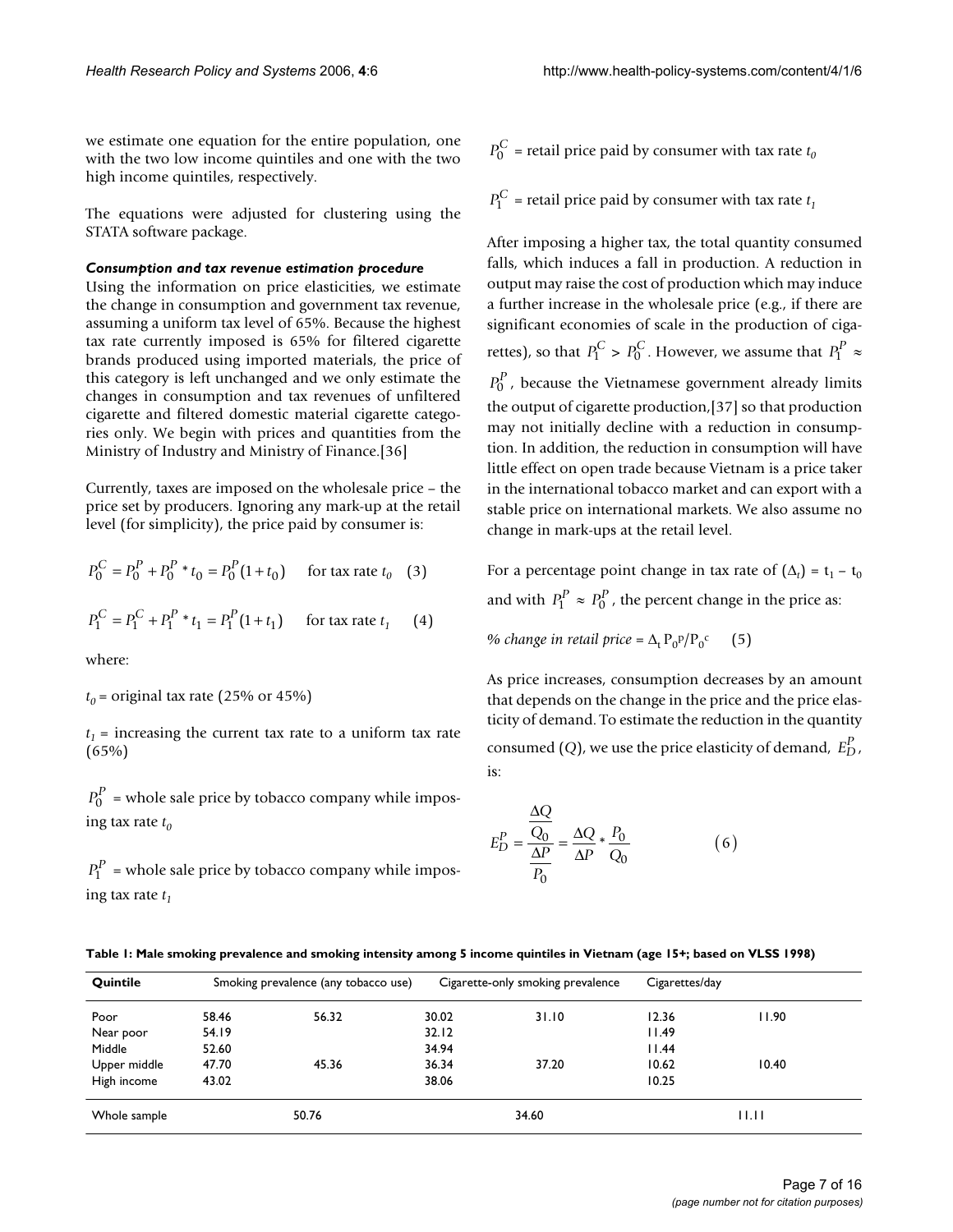we estimate one equation for the entire population, one with the two low income quintiles and one with the two high income quintiles, respectively.

The equations were adjusted for clustering using the STATA software package.

#### *Consumption and tax revenue estimation procedure*

Using the information on price elasticities, we estimate the change in consumption and government tax revenue, assuming a uniform tax level of 65%. Because the highest tax rate currently imposed is 65% for filtered cigarette brands produced using imported materials, the price of this category is left unchanged and we only estimate the changes in consumption and tax revenues of unfiltered cigarette and filtered domestic material cigarette categories only. We begin with prices and quantities from the Ministry of Industry and Ministry of Finance.[36]

Currently, taxes are imposed on the wholesale price – the price set by producers. Ignoring any mark-up at the retail level (for simplicity), the price paid by consumer is:

$$
P_0^C = P_0^P + P_0^P * t_0 = P_0^P (1 + t_0)
$$
 for tax rate  $t_0$  (3)

$$
P_1^C = P_1^C + P_1^P * t_1 = P_1^P (1 + t_1) \quad \text{for tax rate } t_1 \tag{4}
$$

where:

 $t_0$  = original tax rate (25% or 45%)

 $t_1$  = increasing the current tax rate to a uniform tax rate (65%)

 $P_0^P$  = whole sale price by tobacco company while imposing tax rate  $t_0$ 

 $P_1^P$  = whole sale price by tobacco company while imposing tax rate  $t_1$ 

 $P_0^C$  = retail price paid by consumer with tax rate  $t_0$ 

 $P_1^C$  = retail price paid by consumer with tax rate  $t_1$ 

After imposing a higher tax, the total quantity consumed falls, which induces a fall in production. A reduction in output may raise the cost of production which may induce a further increase in the wholesale price (e.g., if there are significant economies of scale in the production of cigarettes), so that  $P_1^C > P_0^C$ . However, we assume that  $P_1^P \approx$  $P_0^P$ , because the Vietnamese government already limits the output of cigarette production,[37] so that production may not initially decline with a reduction in consumption. In addition, the reduction in consumption will have little effect on open trade because Vietnam is a price taker in the international tobacco market and can export with a stable price on international markets. We also assume no change in mark-ups at the retail level.

For a percentage point change in tax rate of  $(\Delta_t) = t_1 - t_0$ and with  $P_1^P \approx P_0^P$ , the percent change in the price as:

% change in retail price =  $\Delta_{\rm t} {\rm P_0} {\rm P}/{\rm P_0}$  $(5)$ 

As price increases, consumption decreases by an amount that depends on the change in the price and the price elasticity of demand. To estimate the reduction in the quantity consumed (Q), we use the price elasticity of demand,  $E_D^P$ , is:

$$
E_D^P = \frac{\frac{\Delta Q}{Q_0}}{\frac{\Delta P}{P_0}} = \frac{\Delta Q}{\Delta P} * \frac{P_0}{Q_0}
$$
(6)

| Quintile     |       | Smoking prevalence (any tobacco use) |       | Cigarette-only smoking prevalence | Cigarettes/day |       |
|--------------|-------|--------------------------------------|-------|-----------------------------------|----------------|-------|
| Poor         | 58.46 | 56.32                                | 30.02 | 31.10                             | 12.36          | 11.90 |
| Near poor    | 54.19 |                                      | 32.12 |                                   | 11.49          |       |
| Middle       | 52.60 |                                      | 34.94 |                                   | 11.44          |       |
| Upper middle | 47.70 | 45.36                                | 36.34 | 37.20                             | 10.62          | 10.40 |
| High income  | 43.02 |                                      | 38.06 |                                   | 10.25          |       |
| Whole sample |       | 50.76                                |       | 34.60                             |                | 11.11 |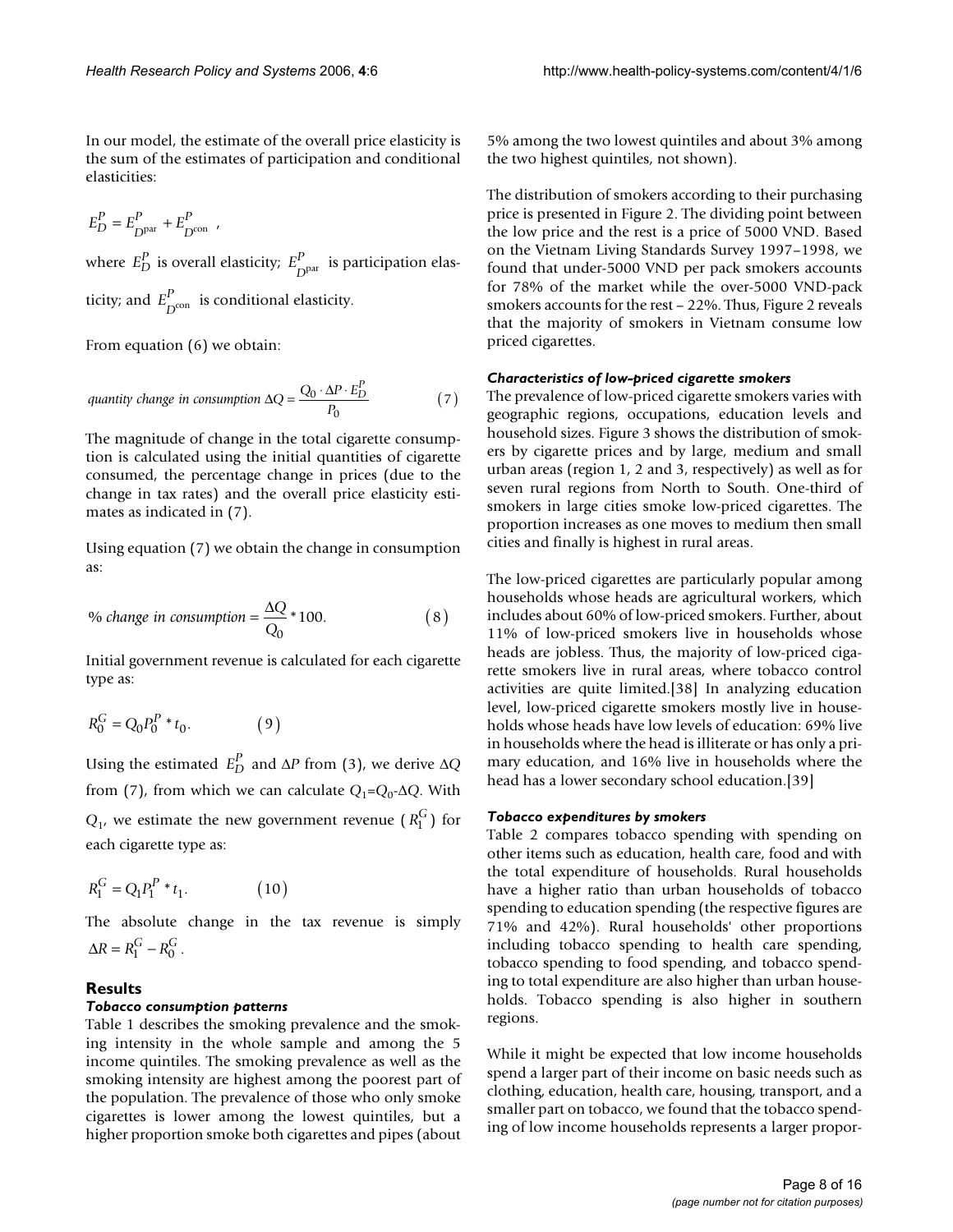In our model, the estimate of the overall price elasticity is the sum of the estimates of participation and conditional elasticities:

$$
E_D^P = E_{D^{\mathrm{par}}}^P + E_{D^{\mathrm{con}}}^P~,
$$

where  $E_D^P$  is overall elasticity;  $E_{D^{\text{par}}}^P$  is participation elasticity; and  $E_{D^{\text{con}}}^P$  is conditional elasticity. *P* par *P*<br>
<sub>D</sub>con

From equation (6) we obtain:

*quantity change in consumption* 
$$
\Delta Q = \frac{Q_0 \cdot \Delta P \cdot E_D^P}{P_0}
$$
 (7)

The magnitude of change in the total cigarette consumption is calculated using the initial quantities of cigarette consumed, the percentage change in prices (due to the change in tax rates) and the overall price elasticity estimates as indicated in (7).

Using equation (7) we obtain the change in consumption as:

% change in consumption = 
$$
\frac{\Delta Q}{Q_0} * 100.
$$
 (8)

Initial government revenue is calculated for each cigarette type as:

$$
R_0^G = Q_0 P_0^{P} * t_0.
$$
 (9)

Using the estimated  $E_D^P$  and  $\Delta P$  from (3), we derive  $\Delta Q$ from (7), from which we can calculate  $Q_1 = Q_0 \Delta Q$ . With  $Q_{1'}$ , we estimate the new government revenue  $(R_1^G)$  for each cigarette type as:

$$
R_1^G = Q_1 P_1^{P} * t_1. \tag{10}
$$

The absolute change in the tax revenue is simply  $\Delta R = R_1^G - R_0^G$ .

## **Results**

## *Tobacco consumption patterns*

Table 1 describes the smoking prevalence and the smoking intensity in the whole sample and among the 5 income quintiles. The smoking prevalence as well as the smoking intensity are highest among the poorest part of the population. The prevalence of those who only smoke cigarettes is lower among the lowest quintiles, but a higher proportion smoke both cigarettes and pipes (about

5% among the two lowest quintiles and about 3% among the two highest quintiles, not shown).

The distribution of smokers according to their purchasing price is presented in Figure 2. The dividing point between the low price and the rest is a price of 5000 VND. Based on the Vietnam Living Standards Survey 1997–1998, we found that under-5000 VND per pack smokers accounts for 78% of the market while the over-5000 VND-pack smokers accounts for the rest – 22%. Thus, Figure 2 reveals that the majority of smokers in Vietnam consume low priced cigarettes.

## *Characteristics of low-priced cigarette smokers*

The prevalence of low-priced cigarette smokers varies with geographic regions, occupations, education levels and household sizes. Figure 3 shows the distribution of smokers by cigarette prices and by large, medium and small urban areas (region 1, 2 and 3, respectively) as well as for seven rural regions from North to South. One-third of smokers in large cities smoke low-priced cigarettes. The proportion increases as one moves to medium then small cities and finally is highest in rural areas.

The low-priced cigarettes are particularly popular among households whose heads are agricultural workers, which includes about 60% of low-priced smokers. Further, about 11% of low-priced smokers live in households whose heads are jobless. Thus, the majority of low-priced cigarette smokers live in rural areas, where tobacco control activities are quite limited.[38] In analyzing education level, low-priced cigarette smokers mostly live in households whose heads have low levels of education: 69% live in households where the head is illiterate or has only a primary education, and 16% live in households where the head has a lower secondary school education.[39]

## *Tobacco expenditures by smokers*

Table 2 compares tobacco spending with spending on other items such as education, health care, food and with the total expenditure of households. Rural households have a higher ratio than urban households of tobacco spending to education spending (the respective figures are 71% and 42%). Rural households' other proportions including tobacco spending to health care spending, tobacco spending to food spending, and tobacco spending to total expenditure are also higher than urban households. Tobacco spending is also higher in southern regions.

While it might be expected that low income households spend a larger part of their income on basic needs such as clothing, education, health care, housing, transport, and a smaller part on tobacco, we found that the tobacco spending of low income households represents a larger propor-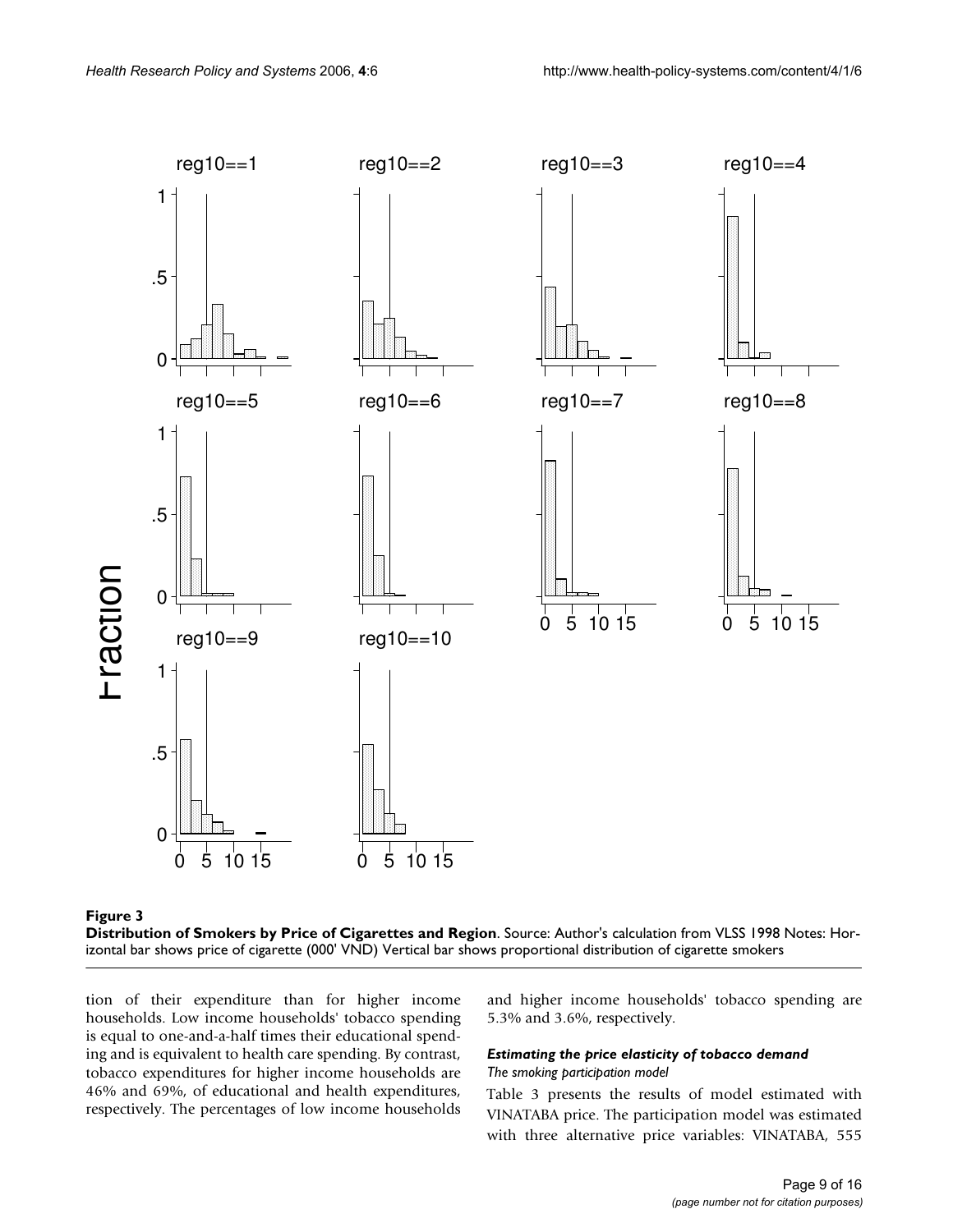

#### **Figure 3**

**Distribution of Smokers by Price of Cigarettes and Region**. Source: Author's calculation from VLSS 1998 Notes: Horizontal bar shows price of cigarette (000' VND) Vertical bar shows proportional distribution of cigarette smokers

tion of their expenditure than for higher income households. Low income households' tobacco spending is equal to one-and-a-half times their educational spending and is equivalent to health care spending. By contrast, tobacco expenditures for higher income households are 46% and 69%, of educational and health expenditures, respectively. The percentages of low income households and higher income households' tobacco spending are 5.3% and 3.6%, respectively.

## *Estimating the price elasticity of tobacco demand The smoking participation model*

Table 3 presents the results of model estimated with VINATABA price. The participation model was estimated with three alternative price variables: VINATABA, 555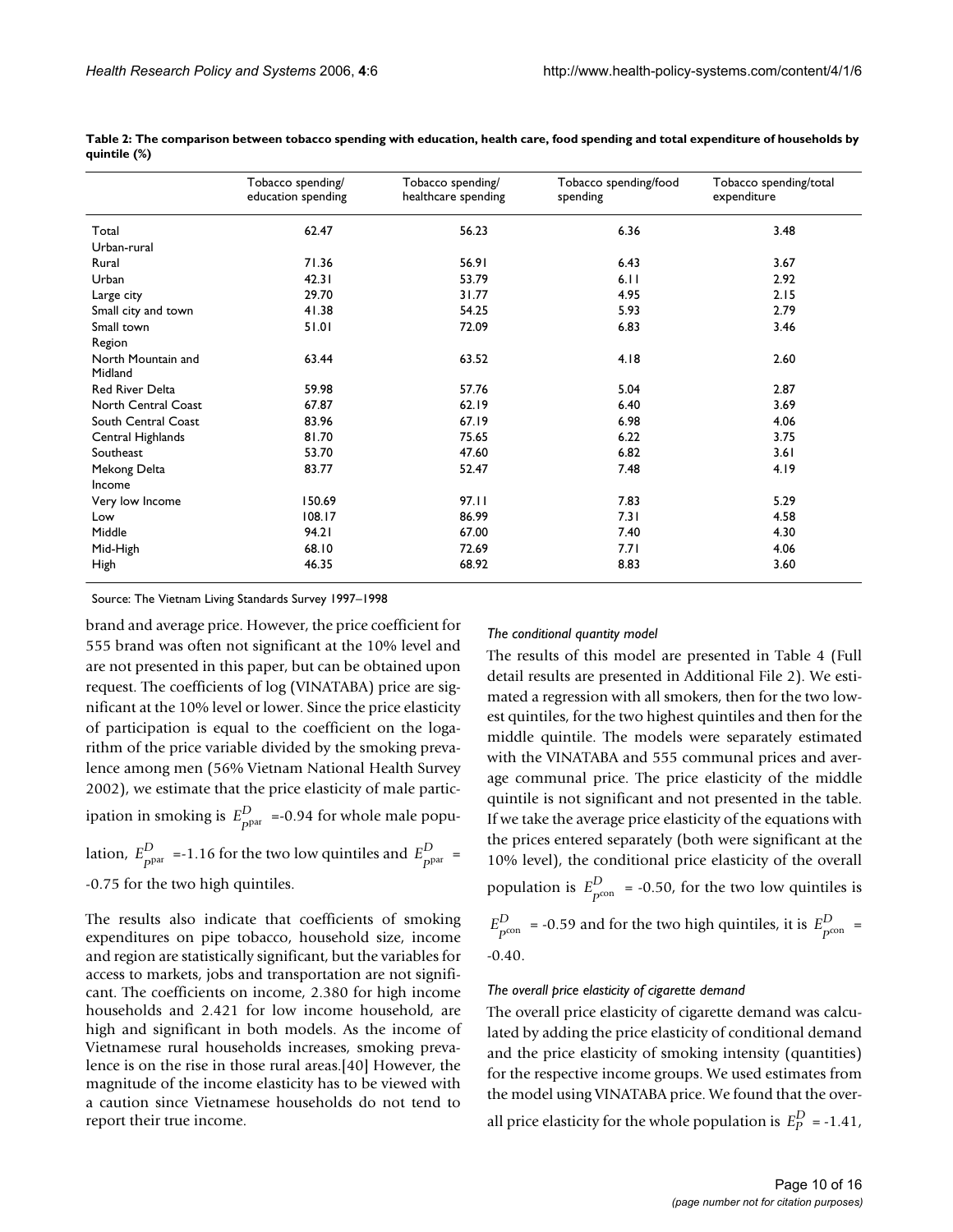|                               | Tobacco spending/<br>education spending | Tobacco spending/<br>healthcare spending | Tobacco spending/food<br>spending | Tobacco spending/total<br>expenditure |
|-------------------------------|-----------------------------------------|------------------------------------------|-----------------------------------|---------------------------------------|
| Total                         | 62.47                                   | 56.23                                    | 6.36                              | 3.48                                  |
| Urban-rural                   |                                         |                                          |                                   |                                       |
| Rural                         | 71.36                                   | 56.91                                    | 6.43                              | 3.67                                  |
| Urban                         | 42.31                                   | 53.79                                    | 6.11                              | 2.92                                  |
| Large city                    | 29.70                                   | 31.77                                    | 4.95                              | 2.15                                  |
| Small city and town           | 41.38                                   | 54.25                                    | 5.93                              | 2.79                                  |
| Small town                    | 51.01                                   | 72.09                                    | 6.83                              | 3.46                                  |
| Region                        |                                         |                                          |                                   |                                       |
| North Mountain and<br>Midland | 63.44                                   | 63.52                                    | 4.18                              | 2.60                                  |
| Red River Delta               | 59.98                                   | 57.76                                    | 5.04                              | 2.87                                  |
| <b>North Central Coast</b>    | 67.87                                   | 62.19                                    | 6.40                              | 3.69                                  |
| South Central Coast           | 83.96                                   | 67.19                                    | 6.98                              | 4.06                                  |
| Central Highlands             | 81.70                                   | 75.65                                    | 6.22                              | 3.75                                  |
| Southeast                     | 53.70                                   | 47.60                                    | 6.82                              | 3.61                                  |
| Mekong Delta                  | 83.77                                   | 52.47                                    | 7.48                              | 4.19                                  |
| Income                        |                                         |                                          |                                   |                                       |
| Very low Income               | 150.69                                  | 97.II                                    | 7.83                              | 5.29                                  |
| Low                           | 108.17                                  | 86.99                                    | 7.31                              | 4.58                                  |
| Middle                        | 94.21                                   | 67.00                                    | 7.40                              | 4.30                                  |
| Mid-High                      | 68.10                                   | 72.69                                    | 7.71                              | 4.06                                  |
| High                          | 46.35                                   | 68.92                                    | 8.83                              | 3.60                                  |

**Table 2: The comparison between tobacco spending with education, health care, food spending and total expenditure of households by quintile (%)**

Source: The Vietnam Living Standards Survey 1997–1998

brand and average price. However, the price coefficient for 555 brand was often not significant at the 10% level and are not presented in this paper, but can be obtained upon request. The coefficients of log (VINATABA) price are significant at the 10% level or lower. Since the price elasticity of participation is equal to the coefficient on the logarithm of the price variable divided by the smoking prevalence among men (56% Vietnam National Health Survey 2002), we estimate that the price elasticity of male participation in smoking is  $E_{p^{\text{par}}}^D$  =-0.94 for whole male population,  $E_{p^{\text{par}}}^D = -1.16$  for the two low quintiles and  $E_{p^{\text{par}}}^D =$ -0.75 for the two high quintiles. *D* par  $_{p{\rm par}}^{D}$  =-1.16 for the two low quintiles and  $E^L_{p}$ *D* par

The results also indicate that coefficients of smoking expenditures on pipe tobacco, household size, income and region are statistically significant, but the variables for access to markets, jobs and transportation are not significant. The coefficients on income, 2.380 for high income households and 2.421 for low income household, are high and significant in both models. As the income of Vietnamese rural households increases, smoking prevalence is on the rise in those rural areas.[40] However, the magnitude of the income elasticity has to be viewed with a caution since Vietnamese households do not tend to report their true income.

## *The conditional quantity model*

The results of this model are presented in Table 4 (Full detail results are presented in Additional File 2). We estimated a regression with all smokers, then for the two lowest quintiles, for the two highest quintiles and then for the middle quintile. The models were separately estimated with the VINATABA and 555 communal prices and average communal price. The price elasticity of the middle quintile is not significant and not presented in the table. If we take the average price elasticity of the equations with the prices entered separately (both were significant at the 10% level), the conditional price elasticity of the overall population is  $E_{p^{\text{con}}}^{D}$  = -0.50, for the two low quintiles is D<br><sub>D</sub>con

 $E_{P^{\text{con}}}^{D}$  = -0.59 and for the two high quintiles, it is  $E_{P^{\text{con}}}^{D}$  = -0.40.  $\frac{D}{P}$ <sub>con</sub> = -0.59 and for the two high quintiles, it is  $E_P^L$ D<br><sub>D</sub>con

## *The overall price elasticity of cigarette demand*

The overall price elasticity of cigarette demand was calculated by adding the price elasticity of conditional demand and the price elasticity of smoking intensity (quantities) for the respective income groups. We used estimates from the model using VINATABA price. We found that the overall price elasticity for the whole population is  $E_P^D = -1.41$ ,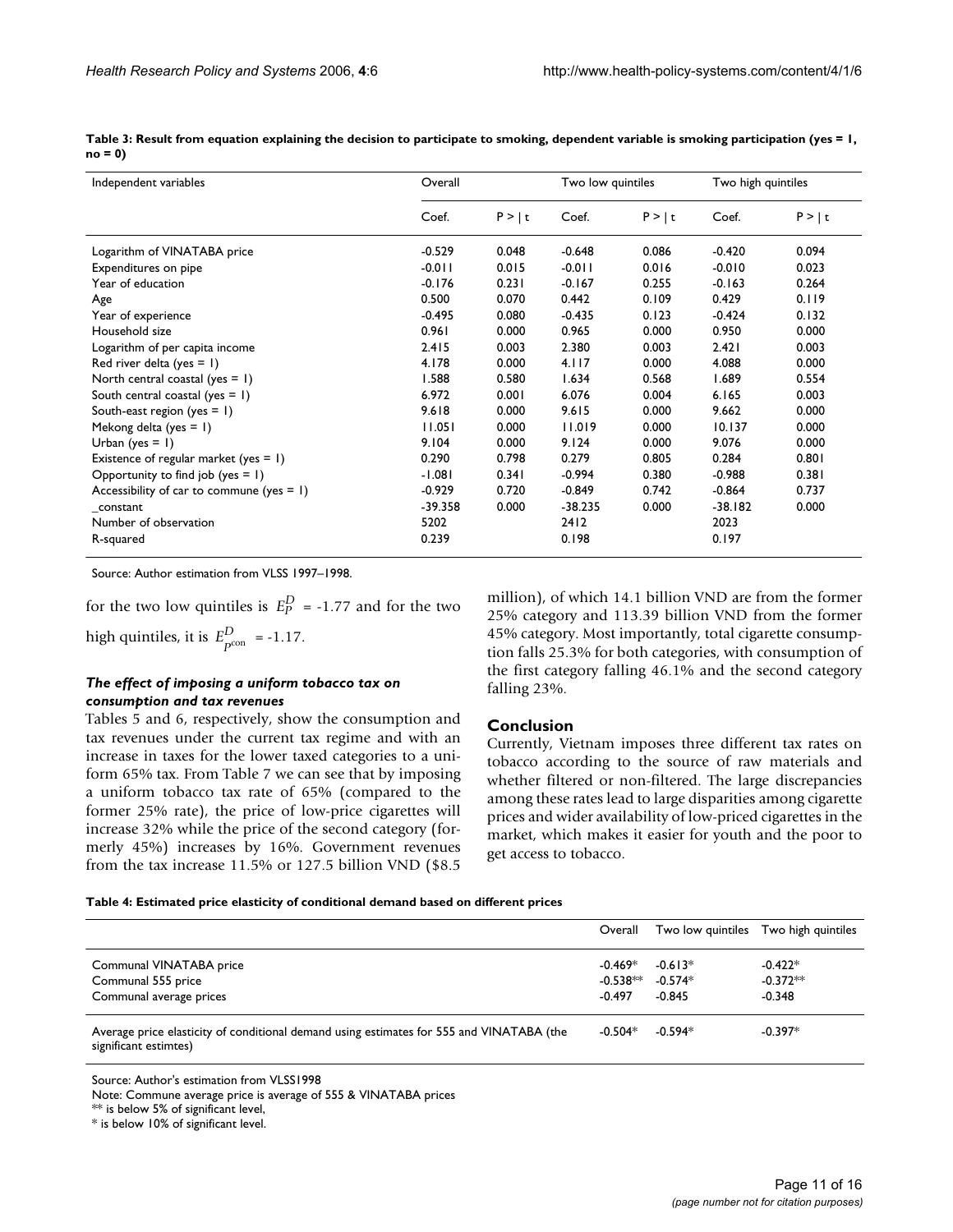| Independent variables                        | Overall   |        | Two low quintiles |        | Two high quintiles |        |
|----------------------------------------------|-----------|--------|-------------------|--------|--------------------|--------|
|                                              | Coef.     | P >  t | Coef.             | P >  t | Coef.              | P >  t |
| Logarithm of VINATABA price                  | $-0.529$  | 0.048  | $-0.648$          | 0.086  | $-0.420$           | 0.094  |
| Expenditures on pipe                         | $-0.011$  | 0.015  | $-0.011$          | 0.016  | $-0.010$           | 0.023  |
| Year of education                            | $-0.176$  | 0.231  | $-0.167$          | 0.255  | $-0.163$           | 0.264  |
| Age                                          | 0.500     | 0.070  | 0.442             | 0.109  | 0.429              | 0.119  |
| Year of experience                           | $-0.495$  | 0.080  | $-0.435$          | 0.123  | $-0.424$           | 0.132  |
| Household size                               | 0.961     | 0.000  | 0.965             | 0.000  | 0.950              | 0.000  |
| Logarithm of per capita income               | 2.415     | 0.003  | 2.380             | 0.003  | 2.421              | 0.003  |
| Red river delta (yes $= 1$ )                 | 4.178     | 0.000  | 4.117             | 0.000  | 4.088              | 0.000  |
| North central coastal (yes $= 1$ )           | 1.588     | 0.580  | 1.634             | 0.568  | 1.689              | 0.554  |
| South central coastal (yes $= 1$ )           | 6.972     | 0.001  | 6.076             | 0.004  | 6.165              | 0.003  |
| South-east region (yes $= 1$ )               | 9.618     | 0.000  | 9.615             | 0.000  | 9.662              | 0.000  |
| Mekong delta (yes $= 1$ )                    | 11.051    | 0.000  | 11.019            | 0.000  | 10.137             | 0.000  |
| Urban (yes $= 1$ )                           | 9.104     | 0.000  | 9.124             | 0.000  | 9.076              | 0.000  |
| Existence of regular market (yes $= 1$ )     | 0.290     | 0.798  | 0.279             | 0.805  | 0.284              | 0.801  |
| Opportunity to find job (yes $= 1$ )         | $-1.081$  | 0.341  | $-0.994$          | 0.380  | $-0.988$           | 0.381  |
| Accessibility of car to commune (yes $= 1$ ) | $-0.929$  | 0.720  | $-0.849$          | 0.742  | $-0.864$           | 0.737  |
| constant                                     | $-39.358$ | 0.000  | $-38.235$         | 0.000  | $-38.182$          | 0.000  |
| Number of observation                        | 5202      |        | 2412              |        | 2023               |        |
| R-squared                                    | 0.239     |        | 0.198             |        | 0.197              |        |

**Table 3: Result from equation explaining the decision to participate to smoking, dependent variable is smoking participation (yes = 1, no = 0)**

Source: Author estimation from VLSS 1997–1998.

for the two low quintiles is  $E_P^D$  = -1.77 and for the two high quintiles, it is  $E_{p^{\text{con}}}^D = -1.17$ . D<br><sub>D</sub>con

## *The effect of imposing a uniform tobacco tax on consumption and tax revenues*

Tables 5 and 6, respectively, show the consumption and tax revenues under the current tax regime and with an increase in taxes for the lower taxed categories to a uniform 65% tax. From Table 7 we can see that by imposing a uniform tobacco tax rate of 65% (compared to the former 25% rate), the price of low-price cigarettes will increase 32% while the price of the second category (formerly 45%) increases by 16%. Government revenues from the tax increase 11.5% or 127.5 billion VND (\$8.5

million), of which 14.1 billion VND are from the former 25% category and 113.39 billion VND from the former 45% category. Most importantly, total cigarette consumption falls 25.3% for both categories, with consumption of the first category falling 46.1% and the second category falling 23%.

## **Conclusion**

Currently, Vietnam imposes three different tax rates on tobacco according to the source of raw materials and whether filtered or non-filtered. The large discrepancies among these rates lead to large disparities among cigarette prices and wider availability of low-priced cigarettes in the market, which makes it easier for youth and the poor to get access to tobacco.

|                                                                                                                   | Overall                             | Two low quintiles Two high quintiles |                                     |
|-------------------------------------------------------------------------------------------------------------------|-------------------------------------|--------------------------------------|-------------------------------------|
| Communal VINATABA price<br>Communal 555 price<br>Communal average prices                                          | $-0.469*$<br>$-0.538**$<br>$-0.497$ | $-0.613*$<br>$-0.574*$<br>$-0.845$   | $-0.422*$<br>$-0.372**$<br>$-0.348$ |
| Average price elasticity of conditional demand using estimates for 555 and VINATABA (the<br>significant estimtes) | $-0.504*$                           | $-0.594*$                            | $-0.397*$                           |

Source: Author's estimation from VLSS1998

Note: Commune average price is average of 555 & VINATABA prices

\*\* is below 5% of significant level,

\* is below 10% of significant level.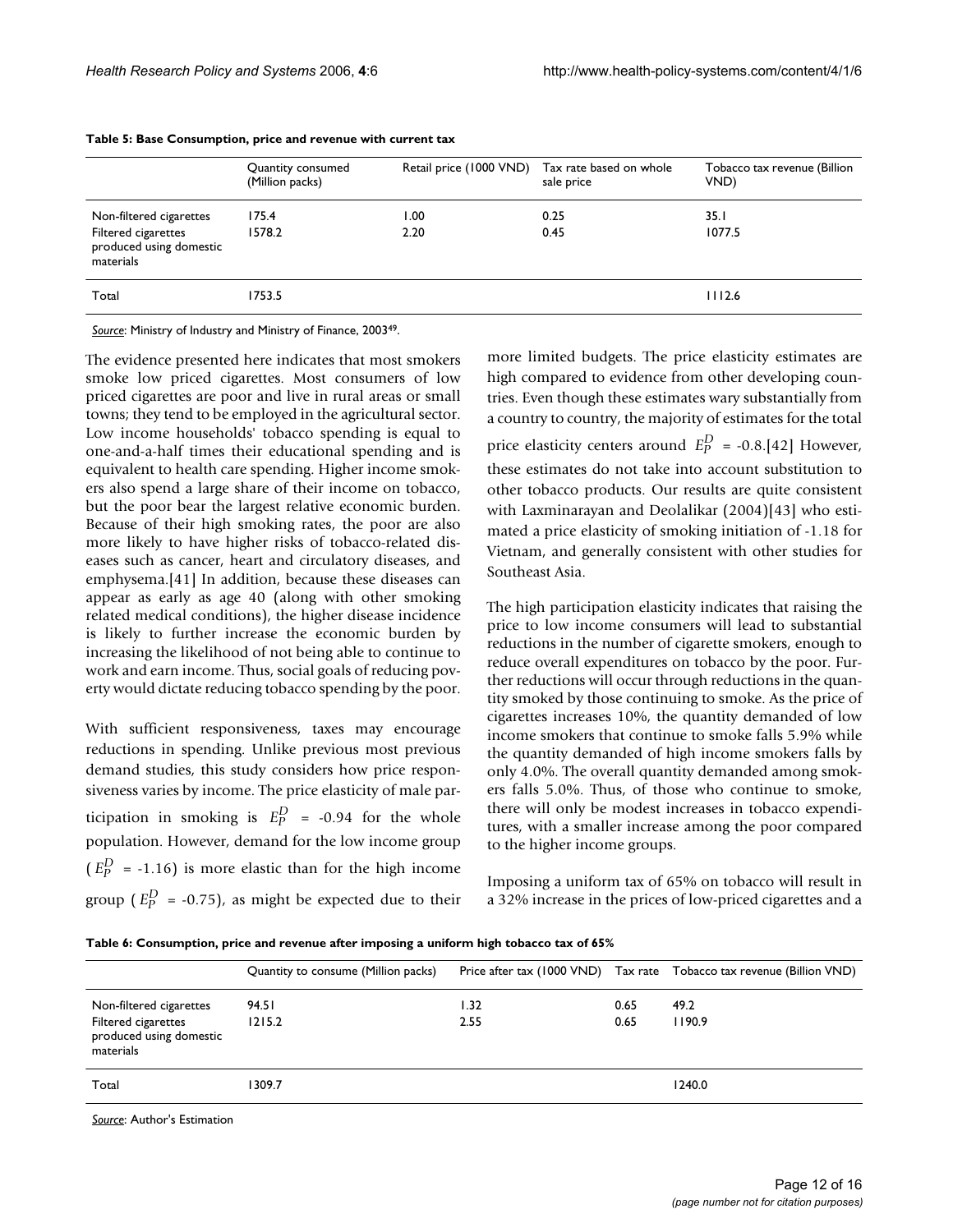|                                                                                        | Quantity consumed<br>(Million packs) | Retail price (1000 VND) | Tax rate based on whole<br>sale price | Tobacco tax revenue (Billion<br>VND) |
|----------------------------------------------------------------------------------------|--------------------------------------|-------------------------|---------------------------------------|--------------------------------------|
| Non-filtered cigarettes<br>Filtered cigarettes<br>produced using domestic<br>materials | 175.4<br>1578.2                      | 00. ا<br>2.20           | 0.25<br>0.45                          | 35. I<br>1077.5                      |
| Total                                                                                  | 1753.5                               |                         |                                       | 1112.6                               |

#### **Table 5: Base Consumption, price and revenue with current tax**

*Source*: Ministry of Industry and Ministry of Finance, 200349.

The evidence presented here indicates that most smokers smoke low priced cigarettes. Most consumers of low priced cigarettes are poor and live in rural areas or small towns; they tend to be employed in the agricultural sector. Low income households' tobacco spending is equal to one-and-a-half times their educational spending and is equivalent to health care spending. Higher income smokers also spend a large share of their income on tobacco, but the poor bear the largest relative economic burden. Because of their high smoking rates, the poor are also more likely to have higher risks of tobacco-related diseases such as cancer, heart and circulatory diseases, and emphysema.[41] In addition, because these diseases can appear as early as age 40 (along with other smoking related medical conditions), the higher disease incidence is likely to further increase the economic burden by increasing the likelihood of not being able to continue to work and earn income. Thus, social goals of reducing poverty would dictate reducing tobacco spending by the poor.

With sufficient responsiveness, taxes may encourage reductions in spending. Unlike previous most previous demand studies, this study considers how price responsiveness varies by income. The price elasticity of male participation in smoking is  $E_P^D$  = -0.94 for the whole population. However, demand for the low income group  $(E_P^D = -1.16)$  is more elastic than for the high income group ( $E_P^D$  = -0.75), as might be expected due to their

more limited budgets. The price elasticity estimates are high compared to evidence from other developing countries. Even though these estimates wary substantially from a country to country, the majority of estimates for the total price elasticity centers around  $E_P^D$  = -0.8.[42] However, these estimates do not take into account substitution to other tobacco products. Our results are quite consistent with Laxminarayan and Deolalikar (2004)[43] who estimated a price elasticity of smoking initiation of -1.18 for Vietnam, and generally consistent with other studies for Southeast Asia.

The high participation elasticity indicates that raising the price to low income consumers will lead to substantial reductions in the number of cigarette smokers, enough to reduce overall expenditures on tobacco by the poor. Further reductions will occur through reductions in the quantity smoked by those continuing to smoke. As the price of cigarettes increases 10%, the quantity demanded of low income smokers that continue to smoke falls 5.9% while the quantity demanded of high income smokers falls by only 4.0%. The overall quantity demanded among smokers falls 5.0%. Thus, of those who continue to smoke, there will only be modest increases in tobacco expenditures, with a smaller increase among the poor compared to the higher income groups.

Imposing a uniform tax of 65% on tobacco will result in a 32% increase in the prices of low-priced cigarettes and a

|  | Table 6: Consumption, price and revenue after imposing a uniform high tobacco tax of 65% $\,$ |  |  |  |  |
|--|-----------------------------------------------------------------------------------------------|--|--|--|--|
|--|-----------------------------------------------------------------------------------------------|--|--|--|--|

|                                                                                        | Quantity to consume (Million packs) |              |              | Price after tax (1000 VND) Tax rate Tobacco tax revenue (Billion VND) |
|----------------------------------------------------------------------------------------|-------------------------------------|--------------|--------------|-----------------------------------------------------------------------|
| Non-filtered cigarettes<br>Filtered cigarettes<br>produced using domestic<br>materials | 94.51<br>1215.2                     | 1.32<br>2.55 | 0.65<br>0.65 | 49.2<br>1190.9                                                        |
| Total                                                                                  | 1309.7                              |              |              | 1240.0                                                                |

*Source*: Author's Estimation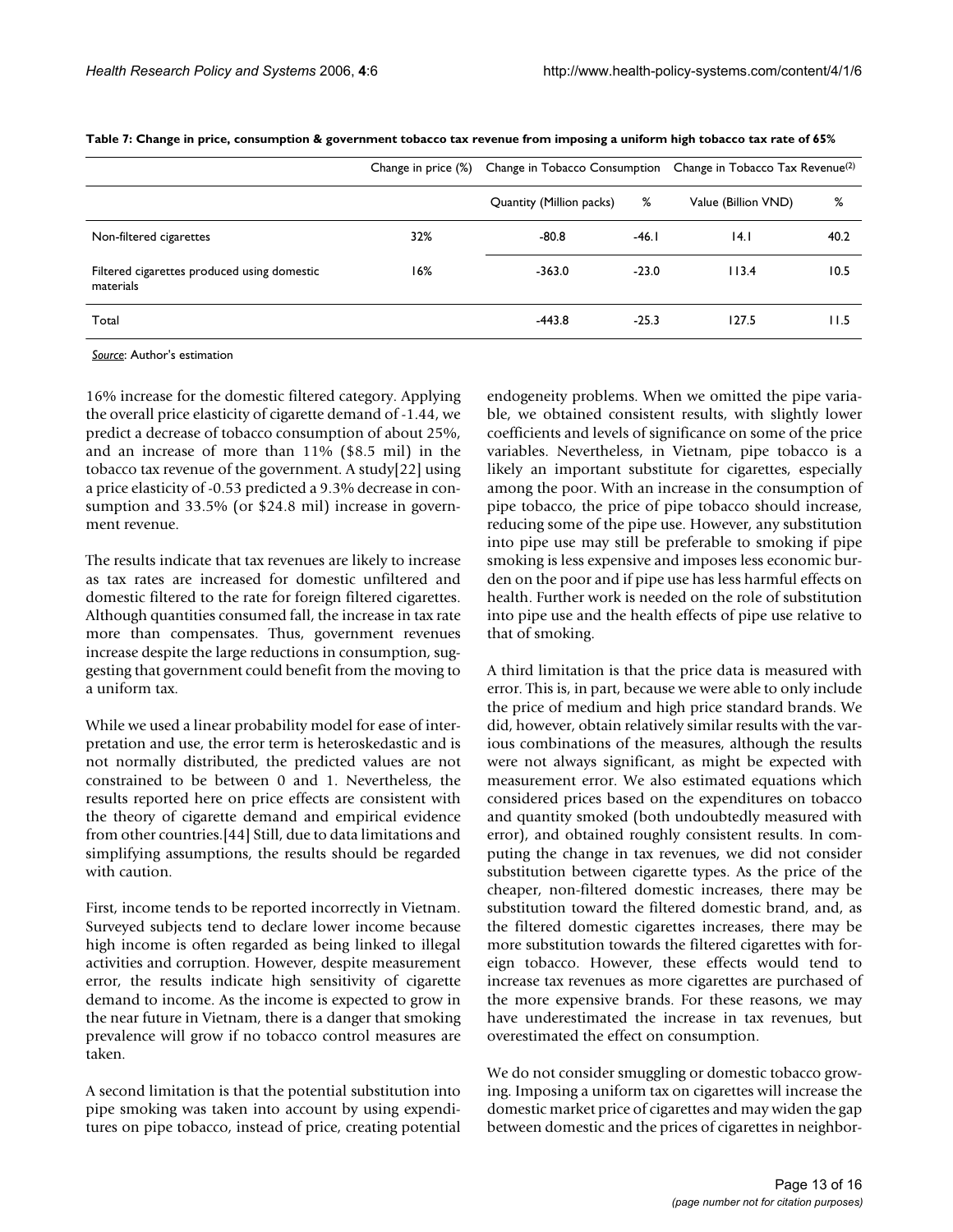|                                                          | Change in price (%) | Change in Tobacco Consumption Change in Tobacco Tax Revenue(2) |         |                     |      |
|----------------------------------------------------------|---------------------|----------------------------------------------------------------|---------|---------------------|------|
|                                                          |                     | Quantity (Million packs)                                       | %       | Value (Billion VND) | %    |
| Non-filtered cigarettes                                  | 32%                 | $-80.8$                                                        | $-46.1$ | 4.1                 | 40.2 |
| Filtered cigarettes produced using domestic<br>materials | 16%                 | $-363.0$                                                       | $-23.0$ | 113.4               | 10.5 |
| Total                                                    |                     | $-443.8$                                                       | $-25.3$ | 127.5               | 11.5 |

**Table 7: Change in price, consumption & government tobacco tax revenue from imposing a uniform high tobacco tax rate of 65%**

*Source*: Author's estimation

16% increase for the domestic filtered category. Applying the overall price elasticity of cigarette demand of -1.44, we predict a decrease of tobacco consumption of about 25%, and an increase of more than 11% (\$8.5 mil) in the tobacco tax revenue of the government. A study[22] using a price elasticity of -0.53 predicted a 9.3% decrease in consumption and 33.5% (or \$24.8 mil) increase in government revenue.

The results indicate that tax revenues are likely to increase as tax rates are increased for domestic unfiltered and domestic filtered to the rate for foreign filtered cigarettes. Although quantities consumed fall, the increase in tax rate more than compensates. Thus, government revenues increase despite the large reductions in consumption, suggesting that government could benefit from the moving to a uniform tax.

While we used a linear probability model for ease of interpretation and use, the error term is heteroskedastic and is not normally distributed, the predicted values are not constrained to be between 0 and 1. Nevertheless, the results reported here on price effects are consistent with the theory of cigarette demand and empirical evidence from other countries.[44] Still, due to data limitations and simplifying assumptions, the results should be regarded with caution.

First, income tends to be reported incorrectly in Vietnam. Surveyed subjects tend to declare lower income because high income is often regarded as being linked to illegal activities and corruption. However, despite measurement error, the results indicate high sensitivity of cigarette demand to income. As the income is expected to grow in the near future in Vietnam, there is a danger that smoking prevalence will grow if no tobacco control measures are taken.

A second limitation is that the potential substitution into pipe smoking was taken into account by using expenditures on pipe tobacco, instead of price, creating potential

endogeneity problems. When we omitted the pipe variable, we obtained consistent results, with slightly lower coefficients and levels of significance on some of the price variables. Nevertheless, in Vietnam, pipe tobacco is a likely an important substitute for cigarettes, especially among the poor. With an increase in the consumption of pipe tobacco, the price of pipe tobacco should increase, reducing some of the pipe use. However, any substitution into pipe use may still be preferable to smoking if pipe smoking is less expensive and imposes less economic burden on the poor and if pipe use has less harmful effects on health. Further work is needed on the role of substitution into pipe use and the health effects of pipe use relative to that of smoking.

A third limitation is that the price data is measured with error. This is, in part, because we were able to only include the price of medium and high price standard brands. We did, however, obtain relatively similar results with the various combinations of the measures, although the results were not always significant, as might be expected with measurement error. We also estimated equations which considered prices based on the expenditures on tobacco and quantity smoked (both undoubtedly measured with error), and obtained roughly consistent results. In computing the change in tax revenues, we did not consider substitution between cigarette types. As the price of the cheaper, non-filtered domestic increases, there may be substitution toward the filtered domestic brand, and, as the filtered domestic cigarettes increases, there may be more substitution towards the filtered cigarettes with foreign tobacco. However, these effects would tend to increase tax revenues as more cigarettes are purchased of the more expensive brands. For these reasons, we may have underestimated the increase in tax revenues, but overestimated the effect on consumption.

We do not consider smuggling or domestic tobacco growing. Imposing a uniform tax on cigarettes will increase the domestic market price of cigarettes and may widen the gap between domestic and the prices of cigarettes in neighbor-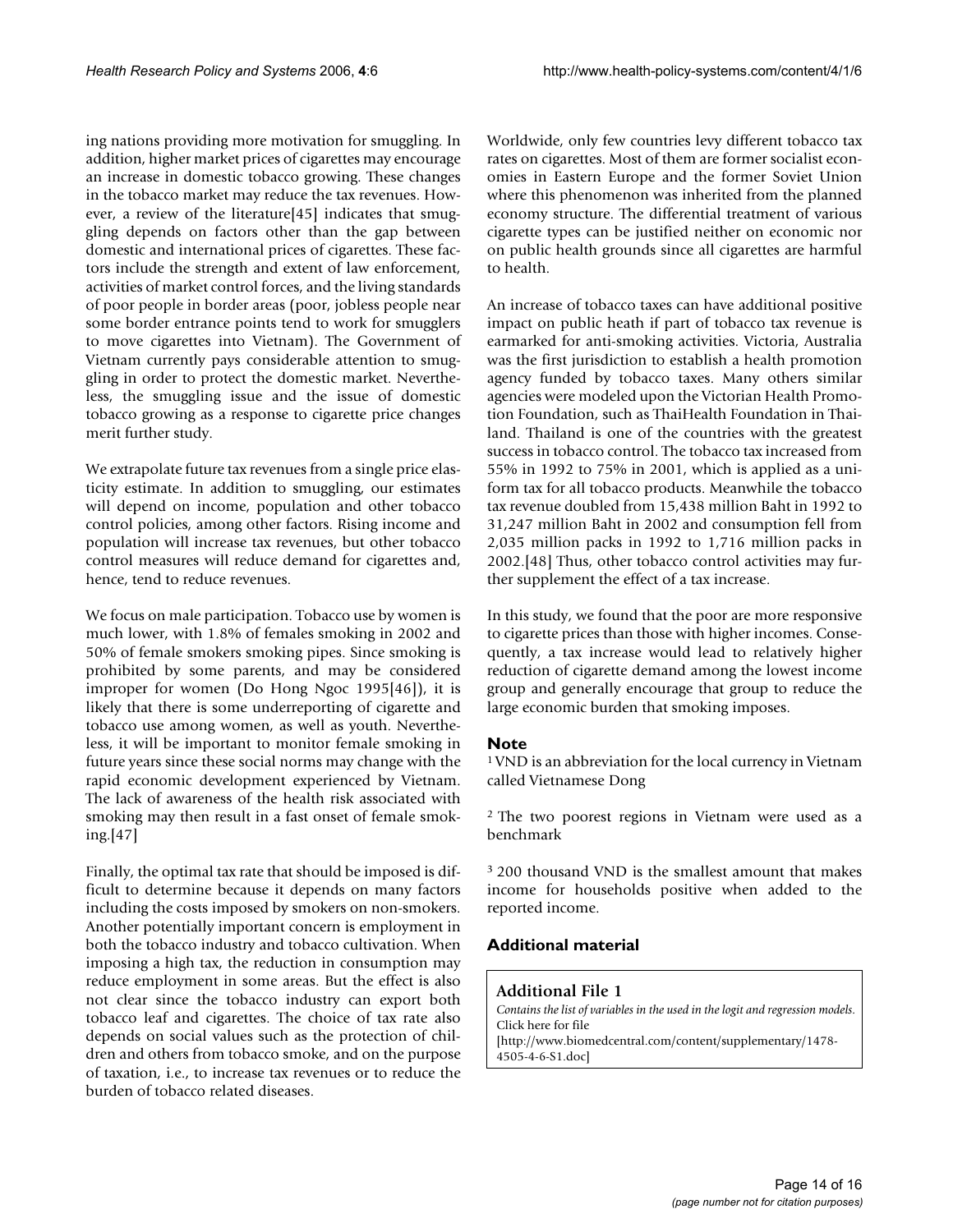ing nations providing more motivation for smuggling. In addition, higher market prices of cigarettes may encourage an increase in domestic tobacco growing. These changes in the tobacco market may reduce the tax revenues. However, a review of the literature[45] indicates that smuggling depends on factors other than the gap between domestic and international prices of cigarettes. These factors include the strength and extent of law enforcement, activities of market control forces, and the living standards of poor people in border areas (poor, jobless people near some border entrance points tend to work for smugglers to move cigarettes into Vietnam). The Government of Vietnam currently pays considerable attention to smuggling in order to protect the domestic market. Nevertheless, the smuggling issue and the issue of domestic tobacco growing as a response to cigarette price changes merit further study.

We extrapolate future tax revenues from a single price elasticity estimate. In addition to smuggling, our estimates will depend on income, population and other tobacco control policies, among other factors. Rising income and population will increase tax revenues, but other tobacco control measures will reduce demand for cigarettes and, hence, tend to reduce revenues.

We focus on male participation. Tobacco use by women is much lower, with 1.8% of females smoking in 2002 and 50% of female smokers smoking pipes. Since smoking is prohibited by some parents, and may be considered improper for women (Do Hong Ngoc 1995[46]), it is likely that there is some underreporting of cigarette and tobacco use among women, as well as youth. Nevertheless, it will be important to monitor female smoking in future years since these social norms may change with the rapid economic development experienced by Vietnam. The lack of awareness of the health risk associated with smoking may then result in a fast onset of female smoking.[47]

Finally, the optimal tax rate that should be imposed is difficult to determine because it depends on many factors including the costs imposed by smokers on non-smokers. Another potentially important concern is employment in both the tobacco industry and tobacco cultivation. When imposing a high tax, the reduction in consumption may reduce employment in some areas. But the effect is also not clear since the tobacco industry can export both tobacco leaf and cigarettes. The choice of tax rate also depends on social values such as the protection of children and others from tobacco smoke, and on the purpose of taxation, i.e., to increase tax revenues or to reduce the burden of tobacco related diseases.

Worldwide, only few countries levy different tobacco tax rates on cigarettes. Most of them are former socialist economies in Eastern Europe and the former Soviet Union where this phenomenon was inherited from the planned economy structure. The differential treatment of various cigarette types can be justified neither on economic nor on public health grounds since all cigarettes are harmful to health.

An increase of tobacco taxes can have additional positive impact on public heath if part of tobacco tax revenue is earmarked for anti-smoking activities. Victoria, Australia was the first jurisdiction to establish a health promotion agency funded by tobacco taxes. Many others similar agencies were modeled upon the Victorian Health Promotion Foundation, such as ThaiHealth Foundation in Thailand. Thailand is one of the countries with the greatest success in tobacco control. The tobacco tax increased from 55% in 1992 to 75% in 2001, which is applied as a uniform tax for all tobacco products. Meanwhile the tobacco tax revenue doubled from 15,438 million Baht in 1992 to 31,247 million Baht in 2002 and consumption fell from 2,035 million packs in 1992 to 1,716 million packs in 2002.[48] Thus, other tobacco control activities may further supplement the effect of a tax increase.

In this study, we found that the poor are more responsive to cigarette prices than those with higher incomes. Consequently, a tax increase would lead to relatively higher reduction of cigarette demand among the lowest income group and generally encourage that group to reduce the large economic burden that smoking imposes.

## **Note**

<sup>1</sup> VND is an abbreviation for the local currency in Vietnam called Vietnamese Dong

2 The two poorest regions in Vietnam were used as a benchmark

3 200 thousand VND is the smallest amount that makes income for households positive when added to the reported income.

## **Additional material**

## **Additional File 1**

*Contains the list of variables in the used in the logit and regression models.* Click here for file [\[http://www.biomedcentral.com/content/supplementary/1478-](http://www.biomedcentral.com/content/supplementary/1478-4505-4-6-S1.doc)

4505-4-6-S1.doc]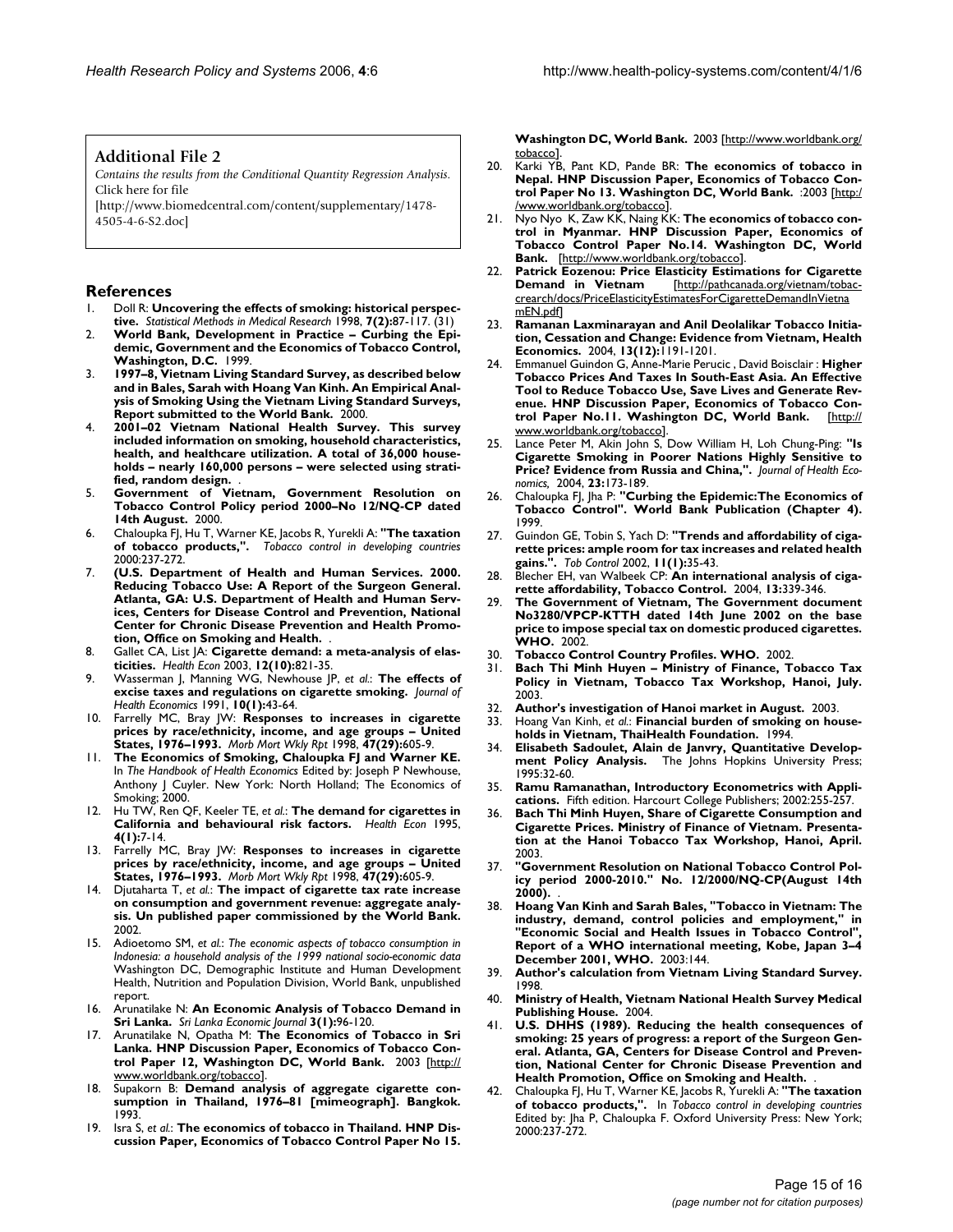#### **Additional File 2**

*Contains the results from the Conditional Quantity Regression Analysis.* Click here for file

[\[http://www.biomedcentral.com/content/supplementary/1478-](http://www.biomedcentral.com/content/supplementary/1478-4505-4-6-S2.doc) 4505-4-6-S2.doc]

#### **References**

- 1. Doll R: **[Uncovering the effects of smoking: historical perspec-](http://www.ncbi.nlm.nih.gov/entrez/query.fcgi?cmd=Retrieve&db=PubMed&dopt=Abstract&list_uids=9654637)**
- **[tive.](http://www.ncbi.nlm.nih.gov/entrez/query.fcgi?cmd=Retrieve&db=PubMed&dopt=Abstract&list_uids=9654637)** *Statistical Methods in Medical Research* 1998, **7(2):**87-117. (31) 2. **World Bank, Development in Practice – Curbing the Epidemic, Government and the Economics of Tobacco Control, Washington, D.C.** 1999.
- 3. **1997–8, Vietnam Living Standard Survey, as described below and in Bales, Sarah with Hoang Van Kinh. An Empirical Analysis of Smoking Using the Vietnam Living Standard Surveys, Report submitted to the World Bank.** 2000.
- 4. **2001–02 Vietnam National Health Survey. This survey included information on smoking, household characteristics, health, and healthcare utilization. A total of 36,000 households – nearly 160,000 persons – were selected using stratified, random design.** .
- 5. **Government of Vietnam, Government Resolution on Tobacco Control Policy period 2000–No 12/NQ-CP dated 14th August.** 2000.
- 6. Chaloupka FJ, Hu T, Warner KE, Jacobs R, Yurekli A: **"The taxation of tobacco products,".** *Tobacco control in developing countries* 2000:237-272.
- 7. **(U.S. Department of Health and Human Services. 2000. Reducing Tobacco Use: A Report of the Surgeon General. Atlanta, GA: U.S. Department of Health and Human Services, Centers for Disease Control and Prevention, National Center for Chronic Disease Prevention and Health Promotion, Office on Smoking and Health.** .
- 8. Gallet CA, List JA: **[Cigarette demand: a meta-analysis of elas](http://www.ncbi.nlm.nih.gov/entrez/query.fcgi?cmd=Retrieve&db=PubMed&dopt=Abstract&list_uids=14508867)[ticities.](http://www.ncbi.nlm.nih.gov/entrez/query.fcgi?cmd=Retrieve&db=PubMed&dopt=Abstract&list_uids=14508867)** *Health Econ* 2003, **12(10):**821-35.
- 9. Wasserman J, Manning WG, Newhouse JP, *et al.*: **[The effects of](http://www.ncbi.nlm.nih.gov/entrez/query.fcgi?cmd=Retrieve&db=PubMed&dopt=Abstract&list_uids=10112149) [excise taxes and regulations on cigarette smoking.](http://www.ncbi.nlm.nih.gov/entrez/query.fcgi?cmd=Retrieve&db=PubMed&dopt=Abstract&list_uids=10112149)** *Journal of Health Economics* 1991, **10(1):**43-64.
- 10. Farrelly MC, Bray JW: **Responses to increases in cigarette prices by race/ethnicity, income, and age groups – United States, 1976–1993.** *Morb Mort Wkly Rpt* 1998, **47(29):**605-9.
- 11. **The Economics of Smoking, Chaloupka FJ and Warner KE.** In *The Handbook of Health Economics* Edited by: Joseph P Newhouse, Anthony J Cuyler. New York: North Holland; The Economics of Smoking; 2000.
- 12. Hu TW, Ren QF, Keeler TE, *et al.*: **[The demand for cigarettes in](http://www.ncbi.nlm.nih.gov/entrez/query.fcgi?cmd=Retrieve&db=PubMed&dopt=Abstract&list_uids=7780529) [California and behavioural risk factors.](http://www.ncbi.nlm.nih.gov/entrez/query.fcgi?cmd=Retrieve&db=PubMed&dopt=Abstract&list_uids=7780529)** *Health Econ* 1995, **4(1):**7-14.
- 13. Farrelly MC, Bray JW: **Responses to increases in cigarette prices by race/ethnicity, income, and age groups – United States, 1976–1993.** *Morb Mort Wkly Rpt* 1998, **47(29):**605-9.
- 14. Djutaharta T, *et al.*: **The impact of cigarette tax rate increase on consumption and government revenue: aggregate analysis. Un published paper commissioned by the World Bank.** 2002.
- 15. Adioetomo SM, *et al.*: *The economic aspects of tobacco consumption in Indonesia: a household analysis of the 1999 national socio-economic data* Washington DC, Demographic Institute and Human Development Health, Nutrition and Population Division, World Bank, unpublished report.
- 16. Arunatilake N: **An Economic Analysis of Tobacco Demand in Sri Lanka.** *Sri Lanka Economic Journal* **3(1):**96-120.
- 17. Arunatilake N, Opatha M: **The Economics of Tobacco in Sri Lanka. HNP Discussion Paper, Economics of Tobacco Control Paper 12, Washington DC, World Bank.** 2003 [[http://](http://www.worldbank.org/tobacco) [www.worldbank.org/tobacco](http://www.worldbank.org/tobacco)].
- 18. Supakorn B: **Demand analysis of aggregate cigarette consumption in Thailand, 1976–81 [mimeograph]. Bangkok.** 1993.
- 19. Isra S, *et al.*: **The economics of tobacco in Thailand. HNP Discussion Paper, Economics of Tobacco Control Paper No 15.**

**Washington DC, World Bank.** 2003 [\[http://www.worldbank.org/](http://www.worldbank.org/tobacco) [tobacco](http://www.worldbank.org/tobacco)].

- 20. Karki YB, Pant KD, Pande BR: **The economics of tobacco in Nepal. HNP Discussion Paper, Economics of Tobacco Control Paper No 13. Washington DC, World Bank.** :2003 [[http:/](http://www.worldbank.org/tobacco) [/www.worldbank.org/tobacco\]](http://www.worldbank.org/tobacco).
- 21. Nyo Nyo K, Zaw KK, Naing KK: **The economics of tobacco control in Myanmar. HNP Discussion Paper, Economics of Tobacco Control Paper No.14. Washington DC, World Bank.** [\[http://www.worldbank.org/tobacco](http://www.worldbank.org/tobacco)].
- 22. **Patrick Eozenou: Price Elasticity Estimations for Cigarette** [\[http://pathcanada.org/vietnam/tobac](http://pathcanada.org/vietnam/tobacco/research/docs/PriceElasticityEstimatesForCigaretteDemandInVietnamEN.pdf)[crearch/docs/PriceElasticityEstimatesForCigaretteDemandInVietna](http://pathcanada.org/vietnam/tobacco/research/docs/PriceElasticityEstimatesForCigaretteDemandInVietnamEN.pdf) [mEN.pdf](http://pathcanada.org/vietnam/tobacco/research/docs/PriceElasticityEstimatesForCigaretteDemandInVietnamEN.pdf)]
- 23. **Ramanan Laxminarayan and Anil Deolalikar Tobacco Initiation, Cessation and Change: Evidence from Vietnam, Health Economics.** 2004, **13(12):**1191-1201.
- 24. Emmanuel Guindon G, Anne-Marie Perucic , David Boisclair : **Higher Tobacco Prices And Taxes In South-East Asia. An Effective Tool to Reduce Tobacco Use, Save Lives and Generate Revenue. HNP Discussion Paper, Economics of Tobacco Control Paper No.11. Washington DC, World Bank.** [\[http://](http://www.worldbank.org/tobacco) [www.worldbank.org/tobacco](http://www.worldbank.org/tobacco)].
- 25. Lance Peter M, Akin John S, Dow William H, Loh Chung-Ping: **"Is Cigarette Smoking in Poorer Nations Highly Sensitive to Price? Evidence from Russia and China,".** *Journal of Health Economics,* 2004, **23:**173-189.
- 26. Chaloupka FJ, Jha P: **"Curbing the Epidemic:The Economics of Tobacco Control". World Bank Publication (Chapter 4).** 1999.
- 27. Guindon GE, Tobin S, Yach D: **["Trends and affordability of ciga](http://www.ncbi.nlm.nih.gov/entrez/query.fcgi?cmd=Retrieve&db=PubMed&dopt=Abstract&list_uids=11891366)[rette prices: ample room for tax increases and related health](http://www.ncbi.nlm.nih.gov/entrez/query.fcgi?cmd=Retrieve&db=PubMed&dopt=Abstract&list_uids=11891366) [gains.".](http://www.ncbi.nlm.nih.gov/entrez/query.fcgi?cmd=Retrieve&db=PubMed&dopt=Abstract&list_uids=11891366)** *Tob Control* 2002, **11(1):**35-43.
- 28. Blecher EH, van Walbeek CP: **[An international analysis of ciga](http://www.ncbi.nlm.nih.gov/entrez/query.fcgi?cmd=Retrieve&db=PubMed&dopt=Abstract&list_uids=15564616)[rette affordability, Tobacco Control.](http://www.ncbi.nlm.nih.gov/entrez/query.fcgi?cmd=Retrieve&db=PubMed&dopt=Abstract&list_uids=15564616)** 2004, **13:**339-346.
- 29. **The Government of Vietnam, The Government document No3280/VPCP-KTTH dated 14th June 2002 on the base price to impose special tax on domestic produced cigarettes. WHO.** 2002.
- 30. **Tobacco Control Country Profiles. WHO.** 2002.
- 31. **Bach Thi Minh Huyen Ministry of Finance, Tobacco Tax Policy in Vietnam, Tobacco Tax Workshop, Hanoi, July.** 2003.
- 32. **Author's investigation of Hanoi market in August.** 2003.
- 33. Hoang Van Kinh, *et al.*: **Financial burden of smoking on households in Vietnam, ThaiHealth Foundation.** 1994.
- 34. **Elisabeth Sadoulet, Alain de Janvry, Quantitative Development Policy Analysis.** The Johns Hopkins University Press; 1995:32-60.
- 35. **Ramu Ramanathan, Introductory Econometrics with Applications.** Fifth edition. Harcourt College Publishers; 2002:255-257.
- 36. **Bach Thi Minh Huyen, Share of Cigarette Consumption and Cigarette Prices. Ministry of Finance of Vietnam. Presentation at the Hanoi Tobacco Tax Workshop, Hanoi, April.** 2003.
- 37. **"Government Resolution on National Tobacco Control Policy period 2000-2010." No. 12/2000/NQ-CP(August 14th 2000).** .
- 38. **Hoang Van Kinh and Sarah Bales, "Tobacco in Vietnam: The industry, demand, control policies and employment," in "Economic Social and Health Issues in Tobacco Control", Report of a WHO international meeting, Kobe, Japan 3–4 December 2001, WHO.** 2003:144.
- 39. **Author's calculation from Vietnam Living Standard Survey.** 1998.
- 40. **Ministry of Health, Vietnam National Health Survey Medical Publishing House.** 2004.
- 41. **U.S. DHHS (1989). Reducing the health consequences of smoking: 25 years of progress: a report of the Surgeon General. Atlanta, GA, Centers for Disease Control and Prevention, National Center for Chronic Disease Prevention and Health Promotion, Office on Smoking and Health.** .
- 42. Chaloupka FJ, Hu T, Warner KE, Jacobs R, Yurekli A: **"The taxation of tobacco products,".** In *Tobacco control in developing countries* Edited by: Jha P, Chaloupka F. Oxford University Press: New York; 2000:237-272.